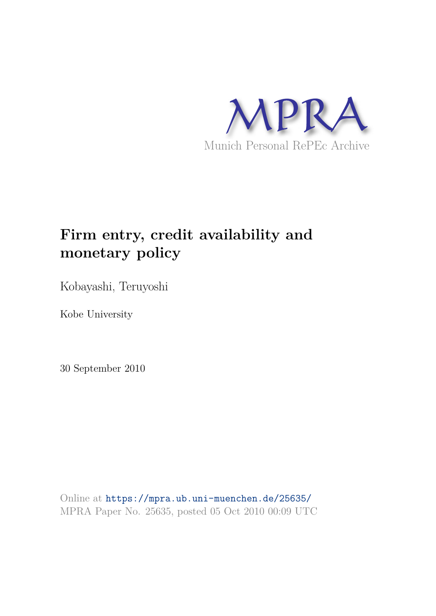

# **Firm entry, credit availability and monetary policy**

Kobayashi, Teruyoshi

Kobe University

30 September 2010

Online at https://mpra.ub.uni-muenchen.de/25635/ MPRA Paper No. 25635, posted 05 Oct 2010 00:09 UTC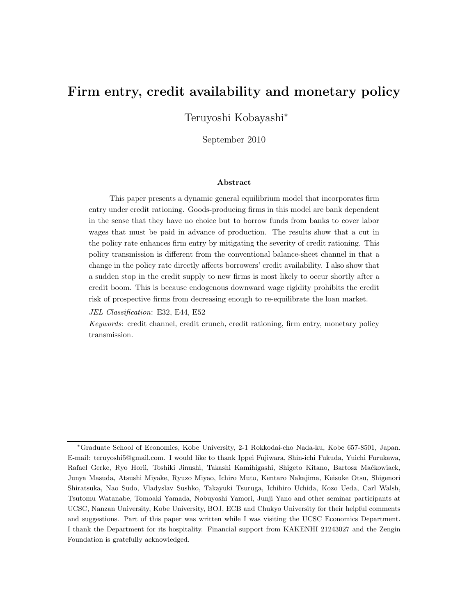# Firm entry, credit availability and monetary policy

Teruyoshi Kobayashi<sup>∗</sup>

September 2010

#### Abstract

This paper presents a dynamic general equilibrium model that incorporates firm entry under credit rationing. Goods-producing firms in this model are bank dependent in the sense that they have no choice but to borrow funds from banks to cover labor wages that must be paid in advance of production. The results show that a cut in the policy rate enhances firm entry by mitigating the severity of credit rationing. This policy transmission is different from the conventional balance-sheet channel in that a change in the policy rate directly affects borrowers' credit availability. I also show that a sudden stop in the credit supply to new firms is most likely to occur shortly after a credit boom. This is because endogenous downward wage rigidity prohibits the credit risk of prospective firms from decreasing enough to re-equilibrate the loan market.

JEL Classification: E32, E44, E52

Keywords: credit channel, credit crunch, credit rationing, firm entry, monetary policy transmission.

<sup>∗</sup>Graduate School of Economics, Kobe University, 2-1 Rokkodai-cho Nada-ku, Kobe 657-8501, Japan. E-mail: teruyoshi5@gmail.com. I would like to thank Ippei Fujiwara, Shin-ichi Fukuda, Yuichi Furukawa, Rafael Gerke, Ryo Horii, Toshiki Jinushi, Takashi Kamihigashi, Shigeto Kitano, Bartosz Maćkowiack, Junya Masuda, Atsushi Miyake, Ryuzo Miyao, Ichiro Muto, Kentaro Nakajima, Keisuke Otsu, Shigenori Shiratsuka, Nao Sudo, Vladyslav Sushko, Takayuki Tsuruga, Ichihiro Uchida, Kozo Ueda, Carl Walsh, Tsutomu Watanabe, Tomoaki Yamada, Nobuyoshi Yamori, Junji Yano and other seminar participants at UCSC, Nanzan University, Kobe University, BOJ, ECB and Chukyo University for their helpful comments and suggestions. Part of this paper was written while I was visiting the UCSC Economics Department. I thank the Department for its hospitality. Financial support from KAKENHI 21243027 and the Zengin Foundation is gratefully acknowledged.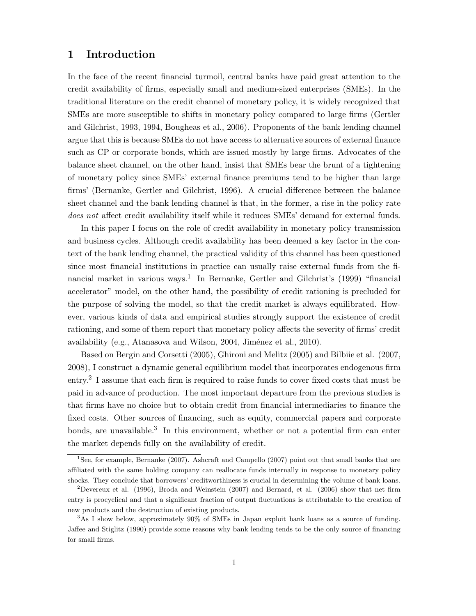# 1 Introduction

In the face of the recent financial turmoil, central banks have paid great attention to the credit availability of firms, especially small and medium-sized enterprises (SMEs). In the traditional literature on the credit channel of monetary policy, it is widely recognized that SMEs are more susceptible to shifts in monetary policy compared to large firms (Gertler and Gilchrist, 1993, 1994, Bougheas et al., 2006). Proponents of the bank lending channel argue that this is because SMEs do not have access to alternative sources of external finance such as CP or corporate bonds, which are issued mostly by large firms. Advocates of the balance sheet channel, on the other hand, insist that SMEs bear the brunt of a tightening of monetary policy since SMEs' external finance premiums tend to be higher than large firms' (Bernanke, Gertler and Gilchrist, 1996). A crucial difference between the balance sheet channel and the bank lending channel is that, in the former, a rise in the policy rate does not affect credit availability itself while it reduces SMEs' demand for external funds.

In this paper I focus on the role of credit availability in monetary policy transmission and business cycles. Although credit availability has been deemed a key factor in the context of the bank lending channel, the practical validity of this channel has been questioned since most financial institutions in practice can usually raise external funds from the financial market in various ways.<sup>1</sup> In Bernanke, Gertler and Gilchrist's (1999) "financial accelerator" model, on the other hand, the possibility of credit rationing is precluded for the purpose of solving the model, so that the credit market is always equilibrated. However, various kinds of data and empirical studies strongly support the existence of credit rationing, and some of them report that monetary policy affects the severity of firms' credit availability (e.g., Atanasova and Wilson, 2004, Jiménez et al., 2010).

Based on Bergin and Corsetti (2005), Ghironi and Melitz (2005) and Bilbiie et al. (2007, 2008), I construct a dynamic general equilibrium model that incorporates endogenous firm entry.<sup>2</sup> I assume that each firm is required to raise funds to cover fixed costs that must be paid in advance of production. The most important departure from the previous studies is that firms have no choice but to obtain credit from financial intermediaries to finance the fixed costs. Other sources of financing, such as equity, commercial papers and corporate bonds, are unavailable.<sup>3</sup> In this environment, whether or not a potential firm can enter the market depends fully on the availability of credit.

<sup>&</sup>lt;sup>1</sup>See, for example, Bernanke (2007). Ashcraft and Campello (2007) point out that small banks that are affiliated with the same holding company can reallocate funds internally in response to monetary policy shocks. They conclude that borrowers' creditworthiness is crucial in determining the volume of bank loans.

<sup>&</sup>lt;sup>2</sup>Devereux et al. (1996), Broda and Weinstein (2007) and Bernard, et al. (2006) show that net firm entry is procyclical and that a significant fraction of output fluctuations is attributable to the creation of new products and the destruction of existing products.

<sup>3</sup>As I show below, approximately 90% of SMEs in Japan exploit bank loans as a source of funding. Jaffee and Stiglitz (1990) provide some reasons why bank lending tends to be the only source of financing for small firms.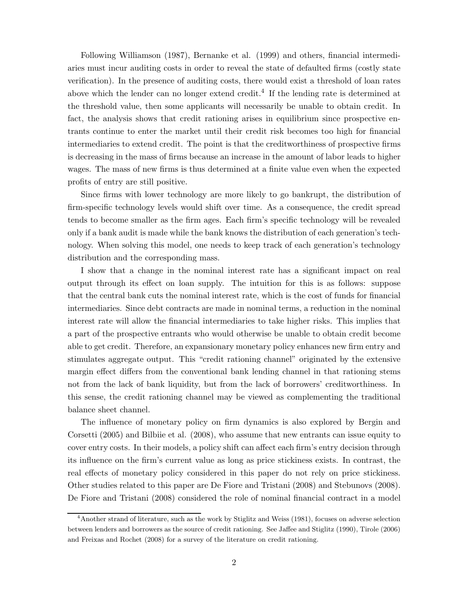Following Williamson (1987), Bernanke et al. (1999) and others, financial intermediaries must incur auditing costs in order to reveal the state of defaulted firms (costly state verification). In the presence of auditing costs, there would exist a threshold of loan rates above which the lender can no longer extend credit.<sup>4</sup> If the lending rate is determined at the threshold value, then some applicants will necessarily be unable to obtain credit. In fact, the analysis shows that credit rationing arises in equilibrium since prospective entrants continue to enter the market until their credit risk becomes too high for financial intermediaries to extend credit. The point is that the creditworthiness of prospective firms is decreasing in the mass of firms because an increase in the amount of labor leads to higher wages. The mass of new firms is thus determined at a finite value even when the expected profits of entry are still positive.

Since firms with lower technology are more likely to go bankrupt, the distribution of firm-specific technology levels would shift over time. As a consequence, the credit spread tends to become smaller as the firm ages. Each firm's specific technology will be revealed only if a bank audit is made while the bank knows the distribution of each generation's technology. When solving this model, one needs to keep track of each generation's technology distribution and the corresponding mass.

I show that a change in the nominal interest rate has a significant impact on real output through its effect on loan supply. The intuition for this is as follows: suppose that the central bank cuts the nominal interest rate, which is the cost of funds for financial intermediaries. Since debt contracts are made in nominal terms, a reduction in the nominal interest rate will allow the financial intermediaries to take higher risks. This implies that a part of the prospective entrants who would otherwise be unable to obtain credit become able to get credit. Therefore, an expansionary monetary policy enhances new firm entry and stimulates aggregate output. This "credit rationing channel" originated by the extensive margin effect differs from the conventional bank lending channel in that rationing stems not from the lack of bank liquidity, but from the lack of borrowers' creditworthiness. In this sense, the credit rationing channel may be viewed as complementing the traditional balance sheet channel.

The influence of monetary policy on firm dynamics is also explored by Bergin and Corsetti (2005) and Bilbiie et al. (2008), who assume that new entrants can issue equity to cover entry costs. In their models, a policy shift can affect each firm's entry decision through its influence on the firm's current value as long as price stickiness exists. In contrast, the real effects of monetary policy considered in this paper do not rely on price stickiness. Other studies related to this paper are De Fiore and Tristani (2008) and Stebunovs (2008). De Fiore and Tristani (2008) considered the role of nominal financial contract in a model

<sup>4</sup>Another strand of literature, such as the work by Stiglitz and Weiss (1981), focuses on adverse selection between lenders and borrowers as the source of credit rationing. See Jaffee and Stiglitz (1990), Tirole (2006) and Freixas and Rochet (2008) for a survey of the literature on credit rationing.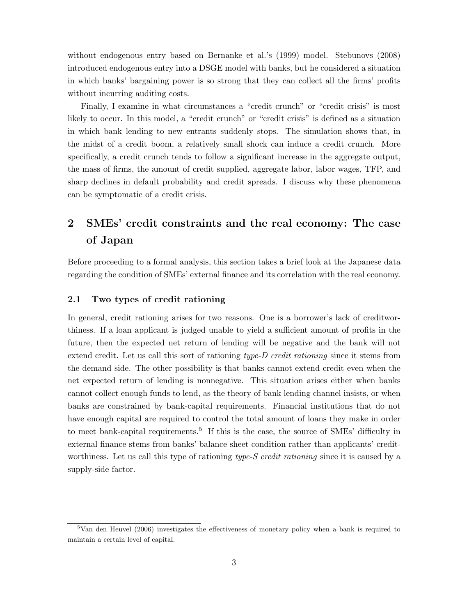without endogenous entry based on Bernanke et al.'s (1999) model. Stebunovs (2008) introduced endogenous entry into a DSGE model with banks, but he considered a situation in which banks' bargaining power is so strong that they can collect all the firms' profits without incurring auditing costs.

Finally, I examine in what circumstances a "credit crunch" or "credit crisis" is most likely to occur. In this model, a "credit crunch" or "credit crisis" is defined as a situation in which bank lending to new entrants suddenly stops. The simulation shows that, in the midst of a credit boom, a relatively small shock can induce a credit crunch. More specifically, a credit crunch tends to follow a significant increase in the aggregate output, the mass of firms, the amount of credit supplied, aggregate labor, labor wages, TFP, and sharp declines in default probability and credit spreads. I discuss why these phenomena can be symptomatic of a credit crisis.

# 2 SMEs' credit constraints and the real economy: The case of Japan

Before proceeding to a formal analysis, this section takes a brief look at the Japanese data regarding the condition of SMEs' external finance and its correlation with the real economy.

#### 2.1 Two types of credit rationing

In general, credit rationing arises for two reasons. One is a borrower's lack of creditworthiness. If a loan applicant is judged unable to yield a sufficient amount of profits in the future, then the expected net return of lending will be negative and the bank will not extend credit. Let us call this sort of rationing type-D credit rationing since it stems from the demand side. The other possibility is that banks cannot extend credit even when the net expected return of lending is nonnegative. This situation arises either when banks cannot collect enough funds to lend, as the theory of bank lending channel insists, or when banks are constrained by bank-capital requirements. Financial institutions that do not have enough capital are required to control the total amount of loans they make in order to meet bank-capital requirements.<sup>5</sup> If this is the case, the source of SMEs' difficulty in external finance stems from banks' balance sheet condition rather than applicants' creditworthiness. Let us call this type of rationing type-S credit rationing since it is caused by a supply-side factor.

<sup>&</sup>lt;sup>5</sup>Van den Heuvel (2006) investigates the effectiveness of monetary policy when a bank is required to maintain a certain level of capital.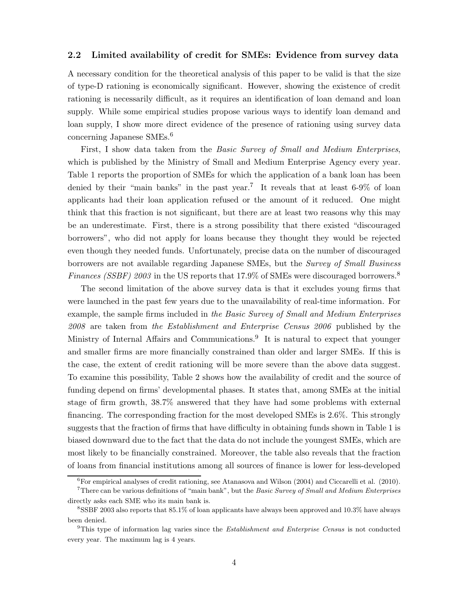#### 2.2 Limited availability of credit for SMEs: Evidence from survey data

A necessary condition for the theoretical analysis of this paper to be valid is that the size of type-D rationing is economically significant. However, showing the existence of credit rationing is necessarily difficult, as it requires an identification of loan demand and loan supply. While some empirical studies propose various ways to identify loan demand and loan supply, I show more direct evidence of the presence of rationing using survey data concerning Japanese SMEs.<sup>6</sup>

First, I show data taken from the Basic Survey of Small and Medium Enterprises, which is published by the Ministry of Small and Medium Enterprise Agency every year. Table 1 reports the proportion of SMEs for which the application of a bank loan has been denied by their "main banks" in the past year.<sup>7</sup> It reveals that at least 6-9% of loan applicants had their loan application refused or the amount of it reduced. One might think that this fraction is not significant, but there are at least two reasons why this may be an underestimate. First, there is a strong possibility that there existed "discouraged borrowers", who did not apply for loans because they thought they would be rejected even though they needed funds. Unfortunately, precise data on the number of discouraged borrowers are not available regarding Japanese SMEs, but the Survey of Small Business Finances (SSBF) 2003 in the US reports that 17.9% of SMEs were discouraged borrowers.<sup>8</sup>

The second limitation of the above survey data is that it excludes young firms that were launched in the past few years due to the unavailability of real-time information. For example, the sample firms included in the Basic Survey of Small and Medium Enterprises 2008 are taken from the Establishment and Enterprise Census 2006 published by the Ministry of Internal Affairs and Communications.<sup>9</sup> It is natural to expect that younger and smaller firms are more financially constrained than older and larger SMEs. If this is the case, the extent of credit rationing will be more severe than the above data suggest. To examine this possibility, Table 2 shows how the availability of credit and the source of funding depend on firms' developmental phases. It states that, among SMEs at the initial stage of firm growth, 38.7% answered that they have had some problems with external financing. The corresponding fraction for the most developed SMEs is 2.6%. This strongly suggests that the fraction of firms that have difficulty in obtaining funds shown in Table 1 is biased downward due to the fact that the data do not include the youngest SMEs, which are most likely to be financially constrained. Moreover, the table also reveals that the fraction of loans from financial institutions among all sources of finance is lower for less-developed

 $6$ For empirical analyses of credit rationing, see Atanasova and Wilson (2004) and Ciccarelli et al. (2010). <sup>7</sup>There can be various definitions of "main bank", but the *Basic Survey of Small and Medium Enterprises* 

directly asks each SME who its main bank is. <sup>8</sup>SSBF 2003 also reports that 85.1% of loan applicants have always been approved and 10.3% have always

been denied.

 $9$ This type of information lag varies since the *Establishment and Enterprise Census* is not conducted every year. The maximum lag is 4 years.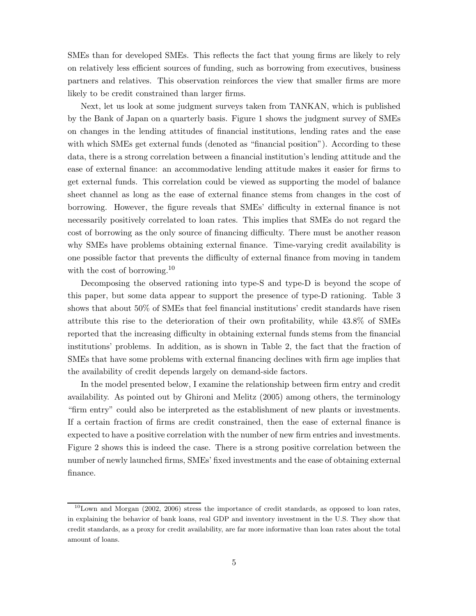SMEs than for developed SMEs. This reflects the fact that young firms are likely to rely on relatively less efficient sources of funding, such as borrowing from executives, business partners and relatives. This observation reinforces the view that smaller firms are more likely to be credit constrained than larger firms.

Next, let us look at some judgment surveys taken from TANKAN, which is published by the Bank of Japan on a quarterly basis. Figure 1 shows the judgment survey of SMEs on changes in the lending attitudes of financial institutions, lending rates and the ease with which SMEs get external funds (denoted as "financial position"). According to these data, there is a strong correlation between a financial institution's lending attitude and the ease of external finance: an accommodative lending attitude makes it easier for firms to get external funds. This correlation could be viewed as supporting the model of balance sheet channel as long as the ease of external finance stems from changes in the cost of borrowing. However, the figure reveals that SMEs' difficulty in external finance is not necessarily positively correlated to loan rates. This implies that SMEs do not regard the cost of borrowing as the only source of financing difficulty. There must be another reason why SMEs have problems obtaining external finance. Time-varying credit availability is one possible factor that prevents the difficulty of external finance from moving in tandem with the cost of borrowing.<sup>10</sup>

Decomposing the observed rationing into type-S and type-D is beyond the scope of this paper, but some data appear to support the presence of type-D rationing. Table 3 shows that about 50% of SMEs that feel financial institutions' credit standards have risen attribute this rise to the deterioration of their own profitability, while 43.8% of SMEs reported that the increasing difficulty in obtaining external funds stems from the financial institutions' problems. In addition, as is shown in Table 2, the fact that the fraction of SMEs that have some problems with external financing declines with firm age implies that the availability of credit depends largely on demand-side factors.

In the model presented below, I examine the relationship between firm entry and credit availability. As pointed out by Ghironi and Melitz (2005) among others, the terminology "firm entry" could also be interpreted as the establishment of new plants or investments. If a certain fraction of firms are credit constrained, then the ease of external finance is expected to have a positive correlation with the number of new firm entries and investments. Figure 2 shows this is indeed the case. There is a strong positive correlation between the number of newly launched firms, SMEs' fixed investments and the ease of obtaining external finance.

 $10$ Lown and Morgan (2002, 2006) stress the importance of credit standards, as opposed to loan rates, in explaining the behavior of bank loans, real GDP and inventory investment in the U.S. They show that credit standards, as a proxy for credit availability, are far more informative than loan rates about the total amount of loans.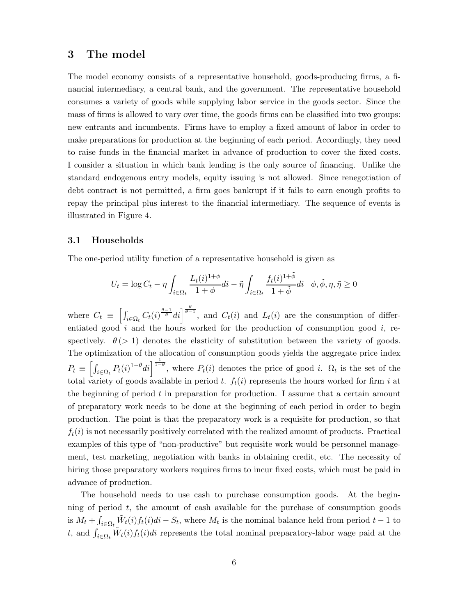## 3 The model

The model economy consists of a representative household, goods-producing firms, a financial intermediary, a central bank, and the government. The representative household consumes a variety of goods while supplying labor service in the goods sector. Since the mass of firms is allowed to vary over time, the goods firms can be classified into two groups: new entrants and incumbents. Firms have to employ a fixed amount of labor in order to make preparations for production at the beginning of each period. Accordingly, they need to raise funds in the financial market in advance of production to cover the fixed costs. I consider a situation in which bank lending is the only source of financing. Unlike the standard endogenous entry models, equity issuing is not allowed. Since renegotiation of debt contract is not permitted, a firm goes bankrupt if it fails to earn enough profits to repay the principal plus interest to the financial intermediary. The sequence of events is illustrated in Figure 4.

#### 3.1 Households

The one-period utility function of a representative household is given as

$$
U_t = \log C_t - \eta \int_{i \in \Omega_t} \frac{L_t(i)^{1+\phi}}{1+\phi} di - \tilde{\eta} \int_{i \in \Omega_t} \frac{f_t(i)^{1+\tilde{\phi}}}{1+\tilde{\phi}} di \quad \phi, \tilde{\phi}, \eta, \tilde{\eta} \ge 0
$$

where  $C_t \equiv \left[\int_{i \in \Omega_t} C_t(i)^{\frac{\theta-1}{\theta}} di \right]^{\frac{\theta}{\theta-1}}$ , and  $C_t(i)$  and  $L_t(i)$  are the consumption of differentiated good  $i$  and the hours worked for the production of consumption good  $i$ , respectively.  $\theta$  (> 1) denotes the elasticity of substitution between the variety of goods. The optimization of the allocation of consumption goods yields the aggregate price index  $P_t \equiv \left[\int_{i \in \Omega_t} P_t(i)^{1-\theta} di \right]^{\frac{1}{1-\theta}}$ , where  $P_t(i)$  denotes the price of good *i*.  $\Omega_t$  is the set of the total variety of goods available in period t.  $f_t(i)$  represents the hours worked for firm i at the beginning of period  $t$  in preparation for production. I assume that a certain amount of preparatory work needs to be done at the beginning of each period in order to begin production. The point is that the preparatory work is a requisite for production, so that  $f_t(i)$  is not necessarily positively correlated with the realized amount of products. Practical examples of this type of "non-productive" but requisite work would be personnel management, test marketing, negotiation with banks in obtaining credit, etc. The necessity of hiring those preparatory workers requires firms to incur fixed costs, which must be paid in advance of production.

The household needs to use cash to purchase consumption goods. At the beginning of period  $t$ , the amount of cash available for the purchase of consumption goods is  $M_t + \int_{i \in \Omega_t} \tilde{W}_t(i) f_t(i)di - S_t$ , where  $M_t$  is the nominal balance held from period  $t-1$  to t, and  $\int_{i \in \Omega_t} \tilde{W}_t(i) f_t(i) di$  represents the total nominal preparatory-labor wage paid at the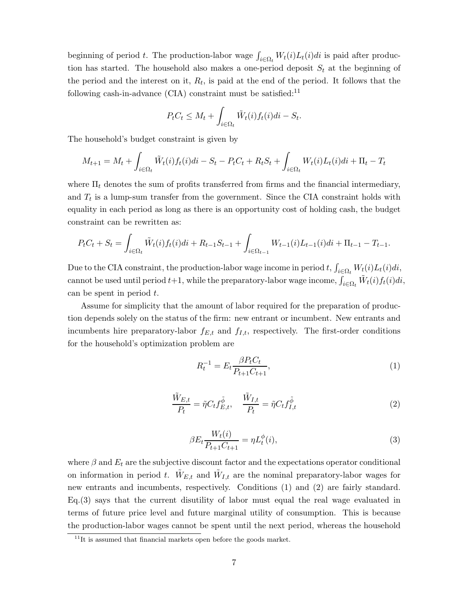beginning of period t. The production-labor wage  $\int_{i \in \Omega_t} W_t(i) L_t(i) di$  is paid after production has started. The household also makes a one-period deposit  $S_t$  at the beginning of the period and the interest on it,  $R_t$ , is paid at the end of the period. It follows that the following cash-in-advance  $(CIA)$  constraint must be satisfied:<sup>11</sup>

$$
P_t C_t \le M_t + \int_{i \in \Omega_t} \tilde{W}_t(i) f_t(i) di - S_t.
$$

The household's budget constraint is given by

$$
M_{t+1} = M_t + \int_{i \in \Omega_t} \tilde{W}_t(i) f_t(i) di - S_t - P_t C_t + R_t S_t + \int_{i \in \Omega_t} W_t(i) L_t(i) di + \Pi_t - T_t
$$

where  $\Pi_t$  denotes the sum of profits transferred from firms and the financial intermediary, and  $T_t$  is a lump-sum transfer from the government. Since the CIA constraint holds with equality in each period as long as there is an opportunity cost of holding cash, the budget constraint can be rewritten as:

$$
P_t C_t + S_t = \int_{i \in \Omega_t} \tilde{W}_t(i) f_t(i) di + R_{t-1} S_{t-1} + \int_{i \in \Omega_{t-1}} W_{t-1}(i) L_{t-1}(i) di + \Pi_{t-1} - T_{t-1}.
$$

Due to the CIA constraint, the production-labor wage income in period  $t$ ,  $\int_{i \in \Omega_t} W_t(i) L_t(i) di$ , cannot be used until period  $t+1$ , while the preparatory-labor wage income,  $\int_{i \in \Omega_t} \tilde{W}_t(i) f_t(i) di$ , can be spent in period t.

Assume for simplicity that the amount of labor required for the preparation of production depends solely on the status of the firm: new entrant or incumbent. New entrants and incumbents hire preparatory-labor  $f_{E,t}$  and  $f_{I,t}$ , respectively. The first-order conditions for the household's optimization problem are

$$
R_t^{-1} = E_t \frac{\beta P_t C_t}{P_{t+1} C_{t+1}},\tag{1}
$$

$$
\frac{\tilde{W}_{E,t}}{P_t} = \tilde{\eta} C_t f_{E,t}^{\tilde{\phi}}, \quad \frac{\tilde{W}_{I,t}}{P_t} = \tilde{\eta} C_t f_{I,t}^{\tilde{\phi}}
$$
\n
$$
\tag{2}
$$

$$
\beta E_t \frac{W_t(i)}{P_{t+1} C_{t+1}} = \eta L_t^{\phi}(i),\tag{3}
$$

where  $\beta$  and  $E_t$  are the subjective discount factor and the expectations operator conditional on information in period t.  $\tilde{W}_{E,t}$  and  $\tilde{W}_{I,t}$  are the nominal preparatory-labor wages for new entrants and incumbents, respectively. Conditions (1) and (2) are fairly standard. Eq.(3) says that the current disutility of labor must equal the real wage evaluated in terms of future price level and future marginal utility of consumption. This is because the production-labor wages cannot be spent until the next period, whereas the household

 $11$ <sup>II</sup>It is assumed that financial markets open before the goods market.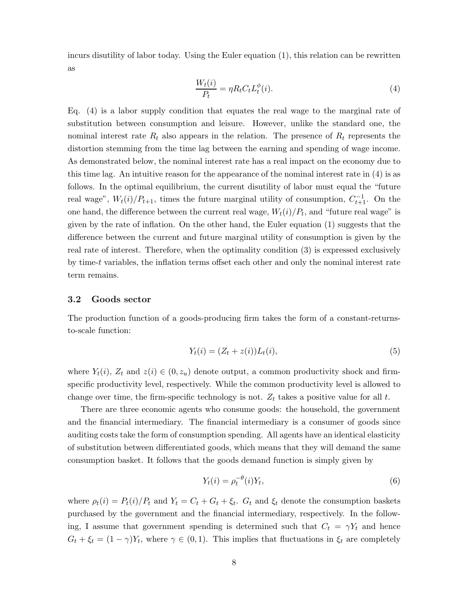incurs disutility of labor today. Using the Euler equation (1), this relation can be rewritten as

$$
\frac{W_t(i)}{P_t} = \eta R_t C_t L_t^{\phi}(i). \tag{4}
$$

Eq. (4) is a labor supply condition that equates the real wage to the marginal rate of substitution between consumption and leisure. However, unlike the standard one, the nominal interest rate  $R_t$  also appears in the relation. The presence of  $R_t$  represents the distortion stemming from the time lag between the earning and spending of wage income. As demonstrated below, the nominal interest rate has a real impact on the economy due to this time lag. An intuitive reason for the appearance of the nominal interest rate in (4) is as follows. In the optimal equilibrium, the current disutility of labor must equal the "future real wage",  $W_t(i)/P_{t+1}$ , times the future marginal utility of consumption,  $C_{t+1}^{-1}$ . On the one hand, the difference between the current real wage,  $W_t(i)/P_t$ , and "future real wage" is given by the rate of inflation. On the other hand, the Euler equation (1) suggests that the difference between the current and future marginal utility of consumption is given by the real rate of interest. Therefore, when the optimality condition (3) is expressed exclusively by time-t variables, the inflation terms offset each other and only the nominal interest rate term remains.

#### 3.2 Goods sector

The production function of a goods-producing firm takes the form of a constant-returnsto-scale function:

$$
Y_t(i) = (Z_t + z(i))L_t(i),
$$
\n(5)

where  $Y_t(i)$ ,  $Z_t$  and  $z(i) \in (0, z_u)$  denote output, a common productivity shock and firmspecific productivity level, respectively. While the common productivity level is allowed to change over time, the firm-specific technology is not.  $Z_t$  takes a positive value for all t.

There are three economic agents who consume goods: the household, the government and the financial intermediary. The financial intermediary is a consumer of goods since auditing costs take the form of consumption spending. All agents have an identical elasticity of substitution between differentiated goods, which means that they will demand the same consumption basket. It follows that the goods demand function is simply given by

$$
Y_t(i) = \rho_t^{-\theta}(i)Y_t,\tag{6}
$$

where  $\rho_t(i) = P_t(i)/P_t$  and  $Y_t = C_t + G_t + \xi_t$ .  $G_t$  and  $\xi_t$  denote the consumption baskets purchased by the government and the financial intermediary, respectively. In the following, I assume that government spending is determined such that  $C_t = \gamma Y_t$  and hence  $G_t + \xi_t = (1 - \gamma)Y_t$ , where  $\gamma \in (0, 1)$ . This implies that fluctuations in  $\xi_t$  are completely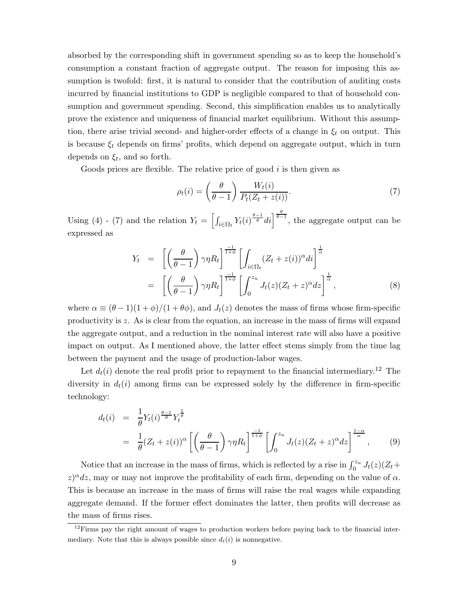absorbed by the corresponding shift in government spending so as to keep the household's consumption a constant fraction of aggregate output. The reason for imposing this assumption is twofold: first, it is natural to consider that the contribution of auditing costs incurred by financial institutions to GDP is negligible compared to that of household consumption and government spending. Second, this simplification enables us to analytically prove the existence and uniqueness of financial market equilibrium. Without this assumption, there arise trivial second- and higher-order effects of a change in  $\xi_t$  on output. This is because  $\xi_t$  depends on firms' profits, which depend on aggregate output, which in turn depends on  $\xi_t$ , and so forth.

Goods prices are flexible. The relative price of good  $i$  is then given as

$$
\rho_t(i) = \left(\frac{\theta}{\theta - 1}\right) \frac{W_t(i)}{P_t(Z_t + z(i))}.\tag{7}
$$

Using (4) - (7) and the relation  $Y_t = \left[\int_{i \in \Omega_t} Y_t(i)^{\frac{\theta-1}{\theta}} di \right]^{\frac{\theta}{\theta-1}}$ , the aggregate output can be expressed as

$$
Y_t = \left[ \left( \frac{\theta}{\theta - 1} \right) \gamma \eta R_t \right]_{1 + \phi}^{\frac{-1}{1 + \phi}} \left[ \int_{i \in \Omega_t} (Z_t + z(i))^{\alpha} di \right]^{\frac{1}{\alpha}}
$$
  

$$
= \left[ \left( \frac{\theta}{\theta - 1} \right) \gamma \eta R_t \right]_{1 + \phi}^{\frac{-1}{1 + \phi}} \left[ \int_0^{z_u} J_t(z) (Z_t + z)^{\alpha} dz \right]^{\frac{1}{\alpha}}, \tag{8}
$$

where  $\alpha \equiv (\theta - 1)(1 + \phi)/(1 + \theta \phi)$ , and  $J_t(z)$  denotes the mass of firms whose firm-specific productivity is z. As is clear from the equation, an increase in the mass of firms will expand the aggregate output, and a reduction in the nominal interest rate will also have a positive impact on output. As I mentioned above, the latter effect stems simply from the time lag between the payment and the usage of production-labor wages.

Let  $d_t(i)$  denote the real profit prior to repayment to the financial intermediary.<sup>12</sup> The diversity in  $d_t(i)$  among firms can be expressed solely by the difference in firm-specific technology:

$$
d_t(i) = \frac{1}{\theta} Y_t(i)^{\frac{\theta-1}{\theta}} Y_t^{\frac{1}{\theta}}
$$
  
= 
$$
\frac{1}{\theta} (Z_t + z(i))^{\alpha} \left[ \left( \frac{\theta}{\theta - 1} \right) \gamma \eta R_t \right]^{\frac{-1}{1 + \phi}} \left[ \int_0^{z_u} J_t(z) (Z_t + z)^{\alpha} dz \right]^{\frac{1 - \alpha}{\alpha}}, \qquad (9)
$$

Notice that an increase in the mass of firms, which is reflected by a rise in  $\int_0^{z_u} J_t(z) (Z_t +$  $(z)^{\alpha}$ dz, may or may not improve the profitability of each firm, depending on the value of  $\alpha$ . This is because an increase in the mass of firms will raise the real wages while expanding aggregate demand. If the former effect dominates the latter, then profits will decrease as the mass of firms rises.

 $12$ Firms pay the right amount of wages to production workers before paying back to the financial intermediary. Note that this is always possible since  $d_t(i)$  is nonnegative.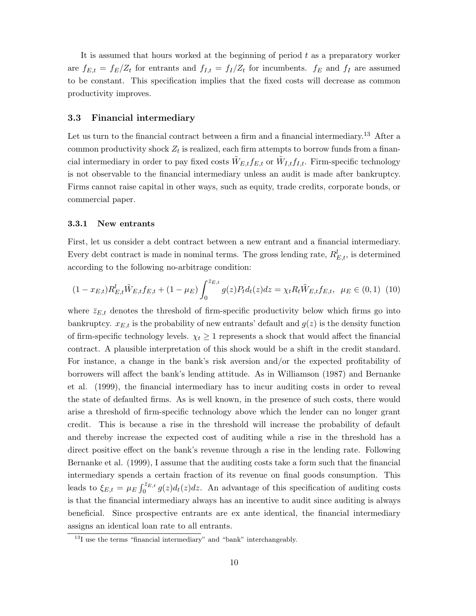It is assumed that hours worked at the beginning of period  $t$  as a preparatory worker are  $f_{E,t} = f_E/Z_t$  for entrants and  $f_{I,t} = f_I/Z_t$  for incumbents.  $f_E$  and  $f_I$  are assumed to be constant. This specification implies that the fixed costs will decrease as common productivity improves.

#### 3.3 Financial intermediary

Let us turn to the financial contract between a firm and a financial intermediary.<sup>13</sup> After a common productivity shock  $Z_t$  is realized, each firm attempts to borrow funds from a financial intermediary in order to pay fixed costs  $\tilde{W}_{E,t}f_{E,t}$  or  $\tilde{W}_{I,t}f_{I,t}$ . Firm-specific technology is not observable to the financial intermediary unless an audit is made after bankruptcy. Firms cannot raise capital in other ways, such as equity, trade credits, corporate bonds, or commercial paper.

#### 3.3.1 New entrants

First, let us consider a debt contract between a new entrant and a financial intermediary. Every debt contract is made in nominal terms. The gross lending rate,  $R_{E,t}^l$ , is determined according to the following no-arbitrage condition:

$$
(1 - x_{E,t})R_{E,t}^l \tilde{W}_{E,t} f_{E,t} + (1 - \mu_E) \int_0^{\bar{z}_{E,t}} g(z)P_t d_t(z) dz = \chi_t R_t \tilde{W}_{E,t} f_{E,t}, \ \mu_E \in (0,1) \tag{10}
$$

where  $\bar{z}_{E,t}$  denotes the threshold of firm-specific productivity below which firms go into bankruptcy.  $x_{E,t}$  is the probability of new entrants' default and  $g(z)$  is the density function of firm-specific technology levels.  $\chi_t \geq 1$  represents a shock that would affect the financial contract. A plausible interpretation of this shock would be a shift in the credit standard. For instance, a change in the bank's risk aversion and/or the expected profitability of borrowers will affect the bank's lending attitude. As in Williamson (1987) and Bernanke et al. (1999), the financial intermediary has to incur auditing costs in order to reveal the state of defaulted firms. As is well known, in the presence of such costs, there would arise a threshold of firm-specific technology above which the lender can no longer grant credit. This is because a rise in the threshold will increase the probability of default and thereby increase the expected cost of auditing while a rise in the threshold has a direct positive effect on the bank's revenue through a rise in the lending rate. Following Bernanke et al. (1999), I assume that the auditing costs take a form such that the financial intermediary spends a certain fraction of its revenue on final goods consumption. This leads to  $\xi_{E,t} = \mu_E \int_0^{\bar{z}_{E,t}} g(z) d_t(z) dz$ . An advantage of this specification of auditing costs is that the financial intermediary always has an incentive to audit since auditing is always beneficial. Since prospective entrants are ex ante identical, the financial intermediary assigns an identical loan rate to all entrants.

 $13$ I use the terms "financial intermediary" and "bank" interchangeably.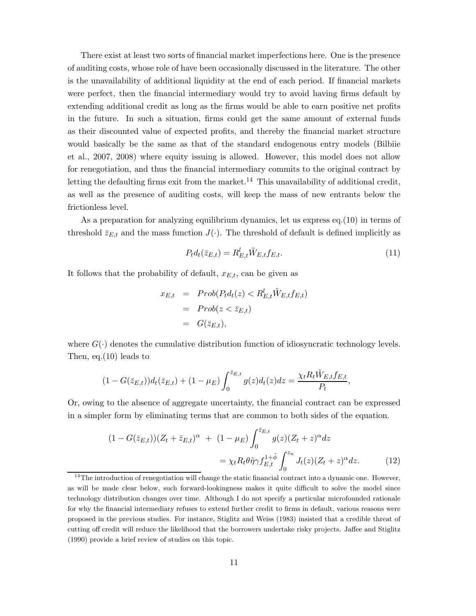There exist at least two sorts of financial market imperfections here. One is the presence of auditing costs, whose role of have been occasionally discussed in the literature. The other is the unavailability of additional liquidity at the end of each period. If financial markets were perfect, then the financial intermediary would try to avoid having firms default by extending additional credit as long as the firms would be able to earn positive net profits in the future. In such a situation, firms could get the same amount of external funds as their discounted value of expected profits, and thereby the financial market structure would basically be the same as that of the standard endogenous entry models (Bilbiie et al., 2007, 2008) where equity issuing is allowed. However, this model does not allow for renegotiation, and thus the financial intermediary commits to the original contract by letting the defaulting firms exit from the market.<sup>14</sup> This unavailability of additional credit, as well as the presence of auditing costs, will keep the mass of new entrants below the frictionless level.

As a preparation for analyzing equilibrium dynamics, let us express eq.(10) in terms of threshold  $\bar{z}_{E,t}$  and the mass function  $J(\cdot)$ . The threshold of default is defined implicitly as

$$
P_t d_t(\bar{z}_{E,t}) = R_{E,t}^l \tilde{W}_{E,t} f_{E,t}.
$$
\n(11)

It follows that the probability of default,  $x_{E,t}$ , can be given as

$$
x_{E,t} = Prob(P_t d_t(z) < R_{E,t}^l \tilde{W}_{E,t} f_{E,t})
$$
\n
$$
= Prob(z < \bar{z}_{E,t})
$$
\n
$$
= G(\bar{z}_{E,t}),
$$

where  $G(\cdot)$  denotes the cumulative distribution function of idiosyncratic technology levels. Then, eq.(10) leads to

$$
(1 - G(\bar{z}_{E,t}))d_t(\bar{z}_{E,t}) + (1 - \mu_E) \int_0^{\bar{z}_{E,t}} g(z)d_t(z)dz = \frac{\chi_t R_t \tilde{W}_{E,t} f_{E,t}}{P_t},
$$

Or, owing to the absence of aggregate uncertainty, the financial contract can be expressed in a simpler form by eliminating terms that are common to both sides of the equation.

$$
(1 - G(\bar{z}_{E,t})) (Z_t + \bar{z}_{E,t})^{\alpha} + (1 - \mu_E) \int_0^{\bar{z}_{E,t}} g(z) (Z_t + z)^{\alpha} dz
$$
  
=  $\chi_t R_t \theta \tilde{\eta} \gamma f_{E,t}^{1 + \tilde{\phi}} \int_0^{z_u} J_t(z) (Z_t + z)^{\alpha} dz.$  (12)

 $14$ The introduction of renegotiation will change the static financial contract into a dynamic one. However, as will be made clear below, such forward-lookingness makes it quite difficult to solve the model since technology distribution changes over time. Although I do not specify a particular microfounded rationale for why the financial intermediary refuses to extend further credit to firms in default, various reasons were proposed in the previous studies. For instance, Stiglitz and Weiss (1983) insisted that a credible threat of cutting off credit will reduce the likelihood that the borrowers undertake risky projects. Jaffee and Stiglitz (1990) provide a brief review of studies on this topic.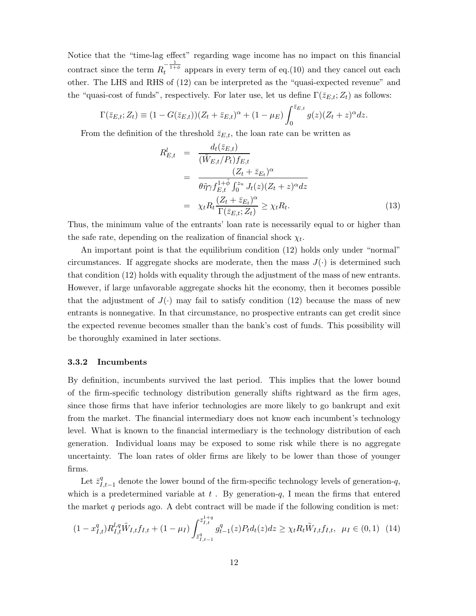Notice that the "time-lag effect" regarding wage income has no impact on this financial contract since the term R  $\frac{1}{t}$  appears in every term of eq.(10) and they cancel out each other. The LHS and RHS of (12) can be interpreted as the "quasi-expected revenue" and the "quasi-cost of funds", respectively. For later use, let us define  $\Gamma(\bar{z}_{E,t};Z_t)$  as follows:

$$
\Gamma(\bar{z}_{E,t};Z_t) \equiv (1 - G(\bar{z}_{E,t})) (Z_t + \bar{z}_{E,t})^{\alpha} + (1 - \mu_E) \int_0^{\bar{z}_{E,t}} g(z) (Z_t + z)^{\alpha} dz.
$$

From the definition of the threshold  $\bar{z}_{E,t}$ , the loan rate can be written as

$$
R_{E,t}^{l} = \frac{d_{t}(\bar{z}_{E,t})}{(\tilde{W}_{E,t}/P_{t})f_{E,t}} = \frac{(Z_{t} + \bar{z}_{E_{t}})^{\alpha}}{\theta \tilde{\eta} \gamma f_{E,t}^{1+\tilde{\phi}} \int_{0}^{z_{u}} J_{t}(z)(Z_{t} + z)^{\alpha} dz} = \chi_{t} R_{t} \frac{(Z_{t} + \bar{z}_{E_{t}})^{\alpha}}{\Gamma(\bar{z}_{E,t}; Z_{t})} \ge \chi_{t} R_{t}.
$$
\n(13)

Thus, the minimum value of the entrants' loan rate is necessarily equal to or higher than the safe rate, depending on the realization of financial shock  $\chi_t$ .

An important point is that the equilibrium condition (12) holds only under "normal" circumstances. If aggregate shocks are moderate, then the mass  $J(\cdot)$  is determined such that condition (12) holds with equality through the adjustment of the mass of new entrants. However, if large unfavorable aggregate shocks hit the economy, then it becomes possible that the adjustment of  $J(\cdot)$  may fail to satisfy condition (12) because the mass of new entrants is nonnegative. In that circumstance, no prospective entrants can get credit since the expected revenue becomes smaller than the bank's cost of funds. This possibility will be thoroughly examined in later sections.

#### 3.3.2 Incumbents

By definition, incumbents survived the last period. This implies that the lower bound of the firm-specific technology distribution generally shifts rightward as the firm ages, since those firms that have inferior technologies are more likely to go bankrupt and exit from the market. The financial intermediary does not know each incumbent's technology level. What is known to the financial intermediary is the technology distribution of each generation. Individual loans may be exposed to some risk while there is no aggregate uncertainty. The loan rates of older firms are likely to be lower than those of younger firms.

Let  $\bar{z}_{I,t-1}^q$  denote the lower bound of the firm-specific technology levels of generation-q, which is a predetermined variable at  $t$ . By generation-q, I mean the firms that entered the market q periods ago. A debt contract will be made if the following condition is met:

$$
(1 - x_{I,t}^q) R_{I,t}^{l,q} \tilde{W}_{I,t} f_{I,t} + (1 - \mu_I) \int_{\bar{z}_{I,t-1}^q}^{\bar{z}_{I,t}^{1+q}} g_{t-1}^q(z) P_t d_t(z) dz \ge \chi_t R_t \tilde{W}_{I,t} f_{I,t}, \ \mu_I \in (0,1) \ (14)
$$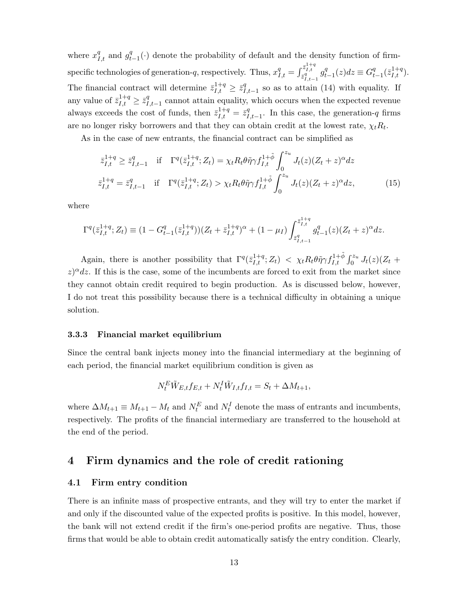where  $x_{I,t}^q$  and  $g_{t-1}^q(\cdot)$  denote the probability of default and the density function of firmspecific technologies of generation-q, respectively. Thus,  $x_{I,t}^q = \int_{\bar{z}_{I,t}^q}^{\bar{z}_{I,t}^{1+q}}$  $z_{I,t-1}^{z_{I,t}} g_{t-1}^q(z) dz \equiv G_{t-1}^q(\bar{z}_{I,t}^{1+q}).$ The financial contract will determine  $\bar{z}_{I,t}^{1+q} \geq \bar{z}_{I,t-1}^q$  so as to attain (14) with equality. If any value of  $\bar{z}_{I,t}^{1+q} \geq \bar{z}_{I,t-1}^q$  cannot attain equality, which occurs when the expected revenue always exceeds the cost of funds, then  $\bar{z}_{I,t}^{1+q} = \bar{z}_{I,t-1}^q$ . In this case, the generation-q firms are no longer risky borrowers and that they can obtain credit at the lowest rate,  $\chi_t R_t$ .

As in the case of new entrants, the financial contract can be simplified as

$$
\bar{z}_{I,t}^{1+q} \ge \bar{z}_{I,t-1}^q \quad \text{if} \quad \Gamma^q(\bar{z}_{I,t}^{1+q}; Z_t) = \chi_t R_t \theta \tilde{\eta} \gamma f_{I,t}^{1+\tilde{\phi}} \int_0^{z_u} J_t(z) (Z_t + z)^\alpha dz
$$
\n
$$
\bar{z}_{I,t}^{1+q} = \bar{z}_{I,t-1}^q \quad \text{if} \quad \Gamma^q(\bar{z}_{I,t}^{1+q}; Z_t) > \chi_t R_t \theta \tilde{\eta} \gamma f_{I,t}^{1+\tilde{\phi}} \int_0^{z_u} J_t(z) (Z_t + z)^\alpha dz,
$$
\n(15)

where

$$
\Gamma^{q}(\bar{z}_{I,t}^{1+q};Z_{t}) \equiv (1 - G_{t-1}^{q}(\bar{z}_{I,t}^{1+q}))(Z_{t} + \bar{z}_{I,t}^{1+q})^{\alpha} + (1 - \mu_{I}) \int_{\bar{z}_{I,t-1}^{q}}^{\bar{z}_{I,t}^{1+q}} g_{t-1}^{q}(z)(Z_{t} + z)^{\alpha} dz.
$$

Again, there is another possibility that  $\Gamma^q(\bar{z}_{I,t}^{1+q};Z_t) < \chi_t R_t \theta \tilde{\eta} \gamma f_{I,t}^{1+\tilde{\phi}}$  $J_{I,t}^{1+\phi} \int_0^{z_u} J_t(z) (Z_t +$  $(z)^{\alpha}$ dz. If this is the case, some of the incumbents are forced to exit from the market since they cannot obtain credit required to begin production. As is discussed below, however, I do not treat this possibility because there is a technical difficulty in obtaining a unique solution.

#### 3.3.3 Financial market equilibrium

Since the central bank injects money into the financial intermediary at the beginning of each period, the financial market equilibrium condition is given as

$$
N_t^E \tilde{W}_{E,t} f_{E,t} + N_t^I \tilde{W}_{I,t} f_{I,t} = S_t + \Delta M_{t+1},
$$

where  $\Delta M_{t+1} \equiv M_{t+1} - M_t$  and  $N_t^E$  and  $N_t^I$  denote the mass of entrants and incumbents, respectively. The profits of the financial intermediary are transferred to the household at the end of the period.

### 4 Firm dynamics and the role of credit rationing

#### 4.1 Firm entry condition

There is an infinite mass of prospective entrants, and they will try to enter the market if and only if the discounted value of the expected profits is positive. In this model, however, the bank will not extend credit if the firm's one-period profits are negative. Thus, those firms that would be able to obtain credit automatically satisfy the entry condition. Clearly,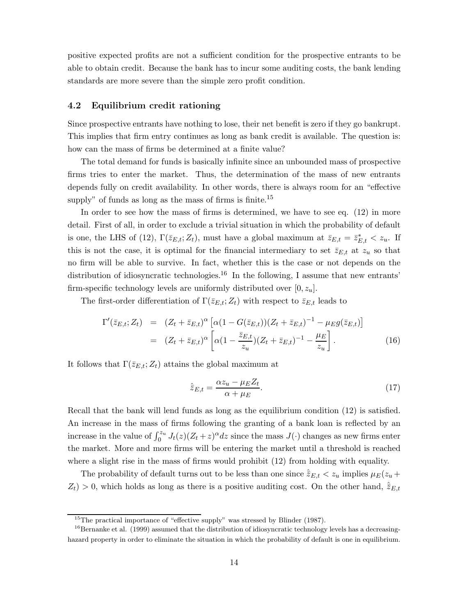positive expected profits are not a sufficient condition for the prospective entrants to be able to obtain credit. Because the bank has to incur some auditing costs, the bank lending standards are more severe than the simple zero profit condition.

#### 4.2 Equilibrium credit rationing

Since prospective entrants have nothing to lose, their net benefit is zero if they go bankrupt. This implies that firm entry continues as long as bank credit is available. The question is: how can the mass of firms be determined at a finite value?

The total demand for funds is basically infinite since an unbounded mass of prospective firms tries to enter the market. Thus, the determination of the mass of new entrants depends fully on credit availability. In other words, there is always room for an "effective supply" of funds as long as the mass of firms is finite.<sup>15</sup>

In order to see how the mass of firms is determined, we have to see eq. (12) in more detail. First of all, in order to exclude a trivial situation in which the probability of default is one, the LHS of (12),  $\Gamma(\bar{z}_{E,t}; Z_t)$ , must have a global maximum at  $\bar{z}_{E,t} = \bar{z}_{E,t}^* < z_u$ . If this is not the case, it is optimal for the financial intermediary to set  $\overline{z}_{E,t}$  at  $z_u$  so that no firm will be able to survive. In fact, whether this is the case or not depends on the distribution of idiosyncratic technologies.<sup>16</sup> In the following, I assume that new entrants' firm-specific technology levels are uniformly distributed over  $[0, z_u]$ .

The first-order differentiation of  $\Gamma(\bar{z}_{E,t};Z_t)$  with respect to  $\bar{z}_{E,t}$  leads to

$$
\Gamma'(\bar{z}_{E,t}; Z_t) = (Z_t + \bar{z}_{E,t})^{\alpha} \left[ \alpha (1 - G(\bar{z}_{E,t})) (Z_t + \bar{z}_{E,t})^{-1} - \mu_E g(\bar{z}_{E,t}) \right]
$$
  

$$
= (Z_t + \bar{z}_{E,t})^{\alpha} \left[ \alpha (1 - \frac{\bar{z}_{E,t}}{z_u}) (Z_t + \bar{z}_{E,t})^{-1} - \frac{\mu_E}{z_u} \right].
$$
 (16)

It follows that  $\Gamma(\bar{z}_{E,t};Z_t)$  attains the global maximum at

$$
\hat{\overline{z}}_{E,t} = \frac{\alpha z_u - \mu_E Z_t}{\alpha + \mu_E}.
$$
\n(17)

Recall that the bank will lend funds as long as the equilibrium condition (12) is satisfied. An increase in the mass of firms following the granting of a bank loan is reflected by an increase in the value of  $\int_0^{z_u} J_t(z) (Z_t + z)^{\alpha} dz$  since the mass  $J(\cdot)$  changes as new firms enter the market. More and more firms will be entering the market until a threshold is reached where a slight rise in the mass of firms would prohibit  $(12)$  from holding with equality.

The probability of default turns out to be less than one since  $\hat{z}_{E,t} < z_u$  implies  $\mu_E(z_u + z_u)$  $Z_t$ ) > 0, which holds as long as there is a positive auditing cost. On the other hand,  $\hat{z}_{E,t}$ 

<sup>&</sup>lt;sup>15</sup>The practical importance of "effective supply" was stressed by Blinder (1987).

 $^{16}$ Bernanke et al. (1999) assumed that the distribution of idiosyncratic technology levels has a decreasinghazard property in order to eliminate the situation in which the probability of default is one in equilibrium.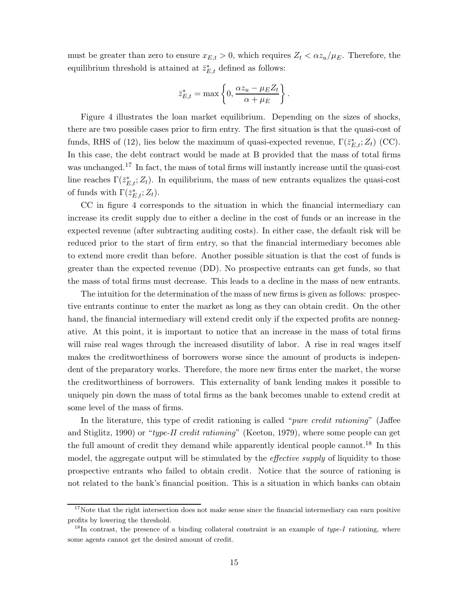must be greater than zero to ensure  $x_{E,t} > 0$ , which requires  $Z_t < \alpha z_u/\mu_E$ . Therefore, the equilibrium threshold is attained at  $\bar{z}_{E,t}^*$  defined as follows:

$$
\bar{z}_{E,t}^* = \max\left\{0, \frac{\alpha z_u - \mu_E Z_t}{\alpha + \mu_E}\right\}.
$$

Figure 4 illustrates the loan market equilibrium. Depending on the sizes of shocks, there are two possible cases prior to firm entry. The first situation is that the quasi-cost of funds, RHS of (12), lies below the maximum of quasi-expected revenue,  $\Gamma(\bar{z}_{E,t}^*, Z_t)$  (CC). In this case, the debt contract would be made at B provided that the mass of total firms was unchanged.<sup>17</sup> In fact, the mass of total firms will instantly increase until the quasi-cost line reaches  $\Gamma(\bar{z}_{E,t}^*; Z_t)$ . In equilibrium, the mass of new entrants equalizes the quasi-cost of funds with  $\Gamma(\bar{z}_{E,t}^*; Z_t)$ .

CC in figure 4 corresponds to the situation in which the financial intermediary can increase its credit supply due to either a decline in the cost of funds or an increase in the expected revenue (after subtracting auditing costs). In either case, the default risk will be reduced prior to the start of firm entry, so that the financial intermediary becomes able to extend more credit than before. Another possible situation is that the cost of funds is greater than the expected revenue (DD). No prospective entrants can get funds, so that the mass of total firms must decrease. This leads to a decline in the mass of new entrants.

The intuition for the determination of the mass of new firms is given as follows: prospective entrants continue to enter the market as long as they can obtain credit. On the other hand, the financial intermediary will extend credit only if the expected profits are nonnegative. At this point, it is important to notice that an increase in the mass of total firms will raise real wages through the increased disutility of labor. A rise in real wages itself makes the creditworthiness of borrowers worse since the amount of products is independent of the preparatory works. Therefore, the more new firms enter the market, the worse the creditworthiness of borrowers. This externality of bank lending makes it possible to uniquely pin down the mass of total firms as the bank becomes unable to extend credit at some level of the mass of firms.

In the literature, this type of credit rationing is called "*pure credit rationing*" (Jaffee and Stiglitz, 1990) or "type-II credit rationing" (Keeton, 1979), where some people can get the full amount of credit they demand while apparently identical people cannot.<sup>18</sup> In this model, the aggregate output will be stimulated by the *effective supply* of liquidity to those prospective entrants who failed to obtain credit. Notice that the source of rationing is not related to the bank's financial position. This is a situation in which banks can obtain

 $17$ Note that the right intersection does not make sense since the financial intermediary can earn positive profits by lowering the threshold.

<sup>&</sup>lt;sup>18</sup>In contrast, the presence of a binding collateral constraint is an example of *type-I* rationing, where some agents cannot get the desired amount of credit.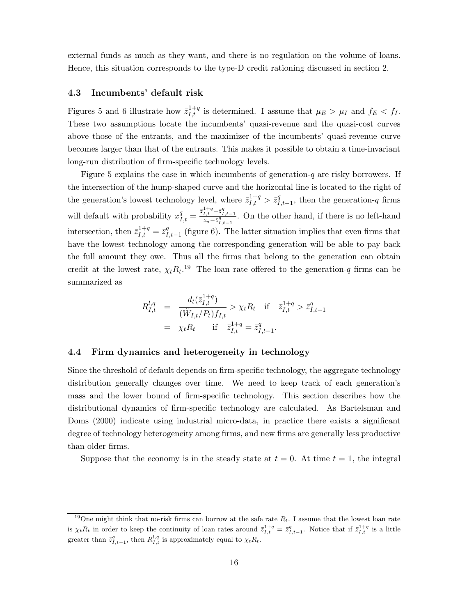external funds as much as they want, and there is no regulation on the volume of loans. Hence, this situation corresponds to the type-D credit rationing discussed in section 2.

#### 4.3 Incumbents' default risk

Figures 5 and 6 illustrate how  $\bar{z}_{I,t}^{1+q}$  is determined. I assume that  $\mu_E > \mu_I$  and  $f_E < f_I$ . These two assumptions locate the incumbents' quasi-revenue and the quasi-cost curves above those of the entrants, and the maximizer of the incumbents' quasi-revenue curve becomes larger than that of the entrants. This makes it possible to obtain a time-invariant long-run distribution of firm-specific technology levels.

Figure 5 explains the case in which incumbents of generation- $q$  are risky borrowers. If the intersection of the hump-shaped curve and the horizontal line is located to the right of the generation's lowest technology level, where  $\bar{z}_{I,t}^{1+q} > \bar{z}_{I,t-1}^q$ , then the generation-q firms will default with probability  $x_{I,t}^q = \frac{\bar{z}_{I,t}^{1+q} - \bar{z}_{I,t-1}^q}{z_u - \bar{z}_{I,t-1}^q}$ . On the other hand, if there is no left-hand intersection, then  $\bar{z}_{I,t}^{1+q} = \bar{z}_{I,t-1}^q$  (figure 6). The latter situation implies that even firms that have the lowest technology among the corresponding generation will be able to pay back the full amount they owe. Thus all the firms that belong to the generation can obtain credit at the lowest rate,  $\chi_t R_t$ <sup>19</sup> The loan rate offered to the generation-q firms can be summarized as

$$
R_{I,t}^{l,q} = \frac{d_t(\bar{z}_{I,t}^{1+q})}{(\tilde{W}_{I,t}/P_t)f_{I,t}} > \chi_t R_t \quad \text{if} \quad \bar{z}_{I,t}^{1+q} > \bar{z}_{I,t-1}^q
$$
  
=  $\chi_t R_t \quad \text{if} \quad \bar{z}_{I,t}^{1+q} = \bar{z}_{I,t-1}^q.$ 

#### 4.4 Firm dynamics and heterogeneity in technology

Since the threshold of default depends on firm-specific technology, the aggregate technology distribution generally changes over time. We need to keep track of each generation's mass and the lower bound of firm-specific technology. This section describes how the distributional dynamics of firm-specific technology are calculated. As Bartelsman and Doms (2000) indicate using industrial micro-data, in practice there exists a significant degree of technology heterogeneity among firms, and new firms are generally less productive than older firms.

Suppose that the economy is in the steady state at  $t = 0$ . At time  $t = 1$ , the integral

<sup>&</sup>lt;sup>19</sup>One might think that no-risk firms can borrow at the safe rate  $R_t$ . I assume that the lowest loan rate is  $\chi_t R_t$  in order to keep the continuity of loan rates around  $\bar{z}_{I,t}^{1+q} = \bar{z}_{I,t-1}^q$ . Notice that if  $\bar{z}_{I,t}^{1+q}$  is a little greater than  $\bar{z}_{I,t-1}^q$ , then  $R_{I,t}^{l,q}$  is approximately equal to  $\chi_t R_t$ .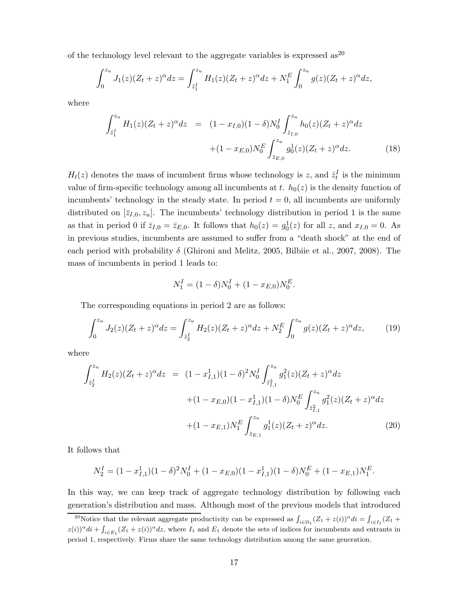of the technology level relevant to the aggregate variables is expressed as  $20$ 

$$
\int_0^{z_u} J_1(z)(Z_t+z)^\alpha dz = \int_{\hat{z}_1}^{z_u} H_1(z)(Z_t+z)^\alpha dz + N_1^E \int_0^{z_u} g(z)(Z_t+z)^\alpha dz,
$$

where

$$
\int_{\tilde{z}_1}^{z_u} H_1(z)(Z_t + z)^{\alpha} dz = (1 - x_{I,0})(1 - \delta)N_0^I \int_{\bar{z}_{I,0}}^{z_u} h_0(z)(Z_t + z)^{\alpha} dz + (1 - x_{E,0})N_0^E \int_{\bar{z}_{E,0}}^{z_u} g_0^1(z)(Z_t + z)^{\alpha} dz.
$$
 (18)

 $H_t(z)$  denotes the mass of incumbent firms whose technology is z, and  $\hat{z}_t^I$  is the minimum value of firm-specific technology among all incumbents at t.  $h_0(z)$  is the density function of incumbents' technology in the steady state. In period  $t = 0$ , all incumbents are uniformly distributed on  $[\bar{z}_{I,0}, z_u]$ . The incumbents' technology distribution in period 1 is the same as that in period 0 if  $\bar{z}_{I,0} = \bar{z}_{E,0}$ . It follows that  $h_0(z) = g_0^1(z)$  for all z, and  $x_{I,0} = 0$ . As in previous studies, incumbents are assumed to suffer from a "death shock" at the end of each period with probability  $\delta$  (Ghironi and Melitz, 2005, Bilbiie et al., 2007, 2008). The mass of incumbents in period 1 leads to:

$$
N_1^I = (1 - \delta)N_0^I + (1 - x_{E,0})N_0^E.
$$

The corresponding equations in period 2 are as follows:

$$
\int_0^{z_u} J_2(z)(Z_t + z)^{\alpha} dz = \int_{\hat{z}_2}^{z_u} H_2(z)(Z_t + z)^{\alpha} dz + N_2^E \int_0^{z_u} g(z)(Z_t + z)^{\alpha} dz, \tag{19}
$$

where

$$
\int_{\hat{z}_2}^{z_u} H_2(z)(Z_t + z)^{\alpha} dz = (1 - x_{I,1}^1)(1 - \delta)^2 N_0^I \int_{\bar{z}_{I,1}^2}^{z_u} g_1^2(z)(Z_t + z)^{\alpha} dz \n+ (1 - x_{E,0})(1 - x_{I,1}^1)(1 - \delta) N_0^E \int_{\bar{z}_{I,1}^2}^{z_u} g_1^2(z)(Z_t + z)^{\alpha} dz \n+ (1 - x_{E,1}) N_1^E \int_{\bar{z}_{E,1}}^{z_u} g_1^1(z)(Z_t + z)^{\alpha} dz.
$$
\n(20)

It follows that

$$
N_2^I = (1 - x_{I,1}^1)(1 - \delta)^2 N_0^I + (1 - x_{E,0})(1 - x_{I,1}^1)(1 - \delta)N_0^E + (1 - x_{E,1})N_1^E.
$$

In this way, we can keep track of aggregate technology distribution by following each generation's distribution and mass. Although most of the previous models that introduced

<sup>&</sup>lt;sup>20</sup>Notice that the relevant aggregate productivity can be expressed as  $\int_{i \in \Omega_1} (Z_1 + z(i))^{\alpha} di = \int_{i \in I_1} (Z_1 + z(i))^{\alpha} di$  $(z(i))^{\alpha} di + \int_{i \in E_1} (Z_1 + z(i))^{\alpha} dz$ , where  $I_1$  and  $E_1$  denote the sets of indices for incumbents and entrants in period 1, respectively. Firms share the same technology distribution among the same generation.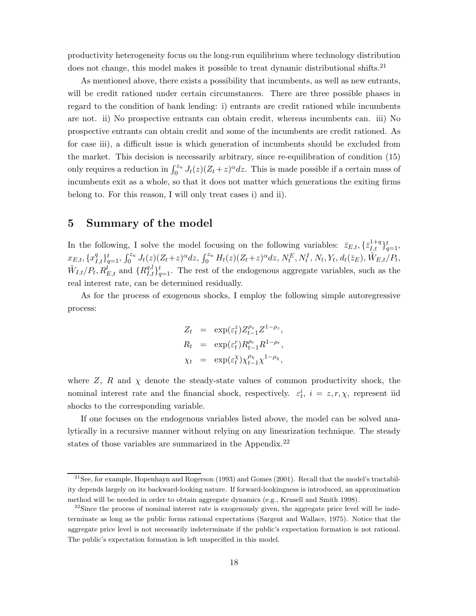productivity heterogeneity focus on the long-run equilibrium where technology distribution does not change, this model makes it possible to treat dynamic distributional shifts.<sup>21</sup>

As mentioned above, there exists a possibility that incumbents, as well as new entrants, will be credit rationed under certain circumstances. There are three possible phases in regard to the condition of bank lending: i) entrants are credit rationed while incumbents are not. ii) No prospective entrants can obtain credit, whereas incumbents can. iii) No prospective entrants can obtain credit and some of the incumbents are credit rationed. As for case iii), a difficult issue is which generation of incumbents should be excluded from the market. This decision is necessarily arbitrary, since re-equilibration of condition (15) only requires a reduction in  $\int_0^{z_u} J_t(z) (Z_t + z)^{\alpha} dz$ . This is made possible if a certain mass of incumbents exit as a whole, so that it does not matter which generations the exiting firms belong to. For this reason, I will only treat cases i) and ii).

# 5 Summary of the model

In the following, I solve the model focusing on the following variables:  $\bar{z}_{E,t}, \{\bar{z}_{I,t}^{1+q}\}_{q=1}^t$ ,  $x_{E,t}, \{x_{I,t}^q\}_{q=1}^t, \int_0^{z_u} J_t(z) (Z_t + z)^{\alpha} dz, \int_0^{z_u} H_t(z) (Z_t + z)^{\alpha} dz, N_t^E, N_t^I, N_t, Y_t, d_t(\bar{z}_E), \tilde{W}_{E,t}/P_t,$  $\tilde{W}_{I,t}/P_t$ ,  $R_{E,t}^l$  and  $\{R_{I,t}^{q,l}\}_{q=1}^t$ . The rest of the endogenous aggregate variables, such as the real interest rate, can be determined residually.

As for the process of exogenous shocks, I employ the following simple autoregressive process:

$$
Z_t = \exp(\varepsilon_t^z) Z_{t-1}^{\rho_z} Z^{1-\rho_z},
$$
  
\n
$$
R_t = \exp(\varepsilon_t^r) R_{t-1}^{\rho_r} R^{1-\rho_r},
$$
  
\n
$$
\chi_t = \exp(\varepsilon_t^{\chi}) \chi_{t-1}^{\rho_x} \chi^{1-\rho_x},
$$

where  $Z$ , R and  $\chi$  denote the steady-state values of common productivity shock, the nominal interest rate and the financial shock, respectively.  $\varepsilon_t^i$ ,  $i = z, r, \chi$ , represent iid shocks to the corresponding variable.

If one focuses on the endogenous variables listed above, the model can be solved analytically in a recursive manner without relying on any linearization technique. The steady states of those variables are summarized in the Appendix.<sup>22</sup>

 $21$ See, for example, Hopenhayn and Rogerson (1993) and Gomes (2001). Recall that the model's tractability depends largely on its backward-looking nature. If forward-lookingness is introduced, an approximation method will be needed in order to obtain aggregate dynamics (e.g., Krusell and Smith 1998).

 $22$ Since the process of nominal interest rate is exogenously given, the aggregate price level will be indeterminate as long as the public forms rational expectations (Sargent and Wallace, 1975). Notice that the aggregate price level is not necessarily indeterminate if the public's expectation formation is not rational. The public's expectation formation is left unspecified in this model.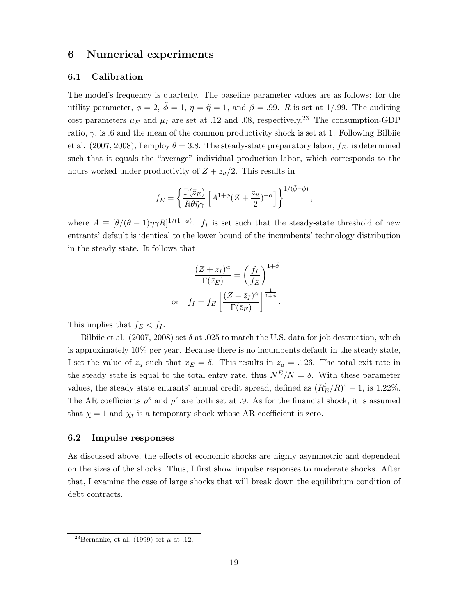### 6 Numerical experiments

#### 6.1 Calibration

The model's frequency is quarterly. The baseline parameter values are as follows: for the utility parameter,  $\phi = 2$ ,  $\tilde{\phi} = 1$ ,  $\eta = \tilde{\eta} = 1$ , and  $\beta = .99$ . R is set at 1/.99. The auditing cost parameters  $\mu_E$  and  $\mu_I$  are set at .12 and .08, respectively.<sup>23</sup> The consumption-GDP ratio,  $\gamma$ , is .6 and the mean of the common productivity shock is set at 1. Following Bilbiie et al. (2007, 2008), I employ  $\theta = 3.8$ . The steady-state preparatory labor,  $f_E$ , is determined such that it equals the "average" individual production labor, which corresponds to the hours worked under productivity of  $Z + z_u/2$ . This results in

$$
f_E = \left\{ \frac{\Gamma(\bar{z}_E)}{R\theta\tilde{\eta}\gamma} \left[ A^{1+\phi} (Z + \frac{z_u}{2})^{-\alpha} \right] \right\}^{1/(\tilde{\phi}-\phi)},
$$

where  $A \equiv [\theta/(\theta-1)\eta\gamma R]^{1/(1+\phi)}$ .  $f_I$  is set such that the steady-state threshold of new entrants' default is identical to the lower bound of the incumbents' technology distribution in the steady state. It follows that

$$
\frac{(Z + \bar{z}_I)^{\alpha}}{\Gamma(\bar{z}_E)} = \left(\frac{f_I}{f_E}\right)^{1+\tilde{\phi}}
$$
  
or  $f_I = f_E \left[\frac{(Z + \bar{z}_I)^{\alpha}}{\Gamma(\bar{z}_E)}\right]^{\frac{1}{1+\tilde{\phi}}}.$ 

This implies that  $f_E < f_I$ .

Bilbiie et al. (2007, 2008) set  $\delta$  at .025 to match the U.S. data for job destruction, which is approximately 10% per year. Because there is no incumbents default in the steady state, I set the value of  $z_u$  such that  $x_E = \delta$ . This results in  $z_u = .126$ . The total exit rate in the steady state is equal to the total entry rate, thus  $N^E/N = \delta$ . With these parameter values, the steady state entrants' annual credit spread, defined as  $(R_E^l/R)^4 - 1$ , is 1.22%. The AR coefficients  $\rho^z$  and  $\rho^r$  are both set at .9. As for the financial shock, it is assumed that  $\chi = 1$  and  $\chi_t$  is a temporary shock whose AR coefficient is zero.

#### 6.2 Impulse responses

As discussed above, the effects of economic shocks are highly asymmetric and dependent on the sizes of the shocks. Thus, I first show impulse responses to moderate shocks. After that, I examine the case of large shocks that will break down the equilibrium condition of debt contracts.

<sup>&</sup>lt;sup>23</sup>Bernanke, et al. (1999) set  $\mu$  at .12.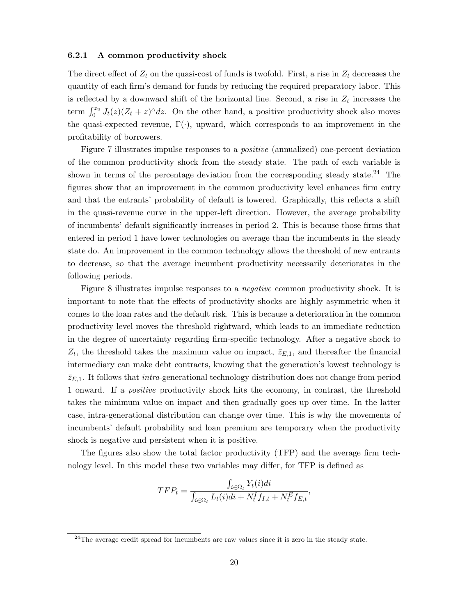#### 6.2.1 A common productivity shock

The direct effect of  $Z_t$  on the quasi-cost of funds is twofold. First, a rise in  $Z_t$  decreases the quantity of each firm's demand for funds by reducing the required preparatory labor. This is reflected by a downward shift of the horizontal line. Second, a rise in  $Z_t$  increases the term  $\int_0^{z_u} J_t(z) (Z_t + z)^{\alpha} dz$ . On the other hand, a positive productivity shock also moves the quasi-expected revenue,  $\Gamma(\cdot)$ , upward, which corresponds to an improvement in the profitability of borrowers.

Figure 7 illustrates impulse responses to a *positive* (annualized) one-percent deviation of the common productivity shock from the steady state. The path of each variable is shown in terms of the percentage deviation from the corresponding steady state.<sup>24</sup> The figures show that an improvement in the common productivity level enhances firm entry and that the entrants' probability of default is lowered. Graphically, this reflects a shift in the quasi-revenue curve in the upper-left direction. However, the average probability of incumbents' default significantly increases in period 2. This is because those firms that entered in period 1 have lower technologies on average than the incumbents in the steady state do. An improvement in the common technology allows the threshold of new entrants to decrease, so that the average incumbent productivity necessarily deteriorates in the following periods.

Figure 8 illustrates impulse responses to a *negative* common productivity shock. It is important to note that the effects of productivity shocks are highly asymmetric when it comes to the loan rates and the default risk. This is because a deterioration in the common productivity level moves the threshold rightward, which leads to an immediate reduction in the degree of uncertainty regarding firm-specific technology. After a negative shock to  $Z_t$ , the threshold takes the maximum value on impact,  $\bar{z}_{E,1}$ , and thereafter the financial intermediary can make debt contracts, knowing that the generation's lowest technology is  $\bar{z}_{E,1}$ . It follows that *intra*-generational technology distribution does not change from period 1 onward. If a positive productivity shock hits the economy, in contrast, the threshold takes the minimum value on impact and then gradually goes up over time. In the latter case, intra-generational distribution can change over time. This is why the movements of incumbents' default probability and loan premium are temporary when the productivity shock is negative and persistent when it is positive.

The figures also show the total factor productivity (TFP) and the average firm technology level. In this model these two variables may differ, for TFP is defined as

$$
TFP_t = \frac{\int_{i \in \Omega_t} Y_t(i)di}{\int_{i \in \Omega_t} L_t(i)di + N_t^If_{I,t} + N_t^E f_{E,t}},
$$

 $24$ The average credit spread for incumbents are raw values since it is zero in the steady state.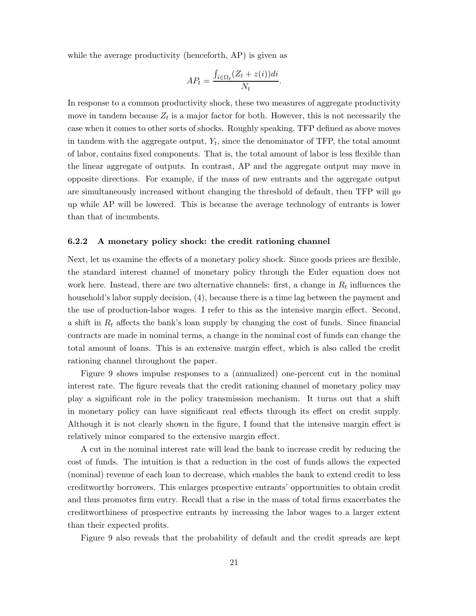while the average productivity (henceforth, AP) is given as

$$
AP_t = \frac{\int_{i \in \Omega_t} (Z_t + z(i))di}{N_t}.
$$

In response to a common productivity shock, these two measures of aggregate productivity move in tandem because  $Z_t$  is a major factor for both. However, this is not necessarily the case when it comes to other sorts of shocks. Roughly speaking, TFP defined as above moves in tandem with the aggregate output,  $Y_t$ , since the denominator of TFP, the total amount of labor, contains fixed components. That is, the total amount of labor is less flexible than the linear aggregate of outputs. In contrast, AP and the aggregate output may move in opposite directions. For example, if the mass of new entrants and the aggregate output are simultaneously increased without changing the threshold of default, then TFP will go up while AP will be lowered. This is because the average technology of entrants is lower than that of incumbents.

#### 6.2.2 A monetary policy shock: the credit rationing channel

Next, let us examine the effects of a monetary policy shock. Since goods prices are flexible, the standard interest channel of monetary policy through the Euler equation does not work here. Instead, there are two alternative channels: first, a change in  $R_t$  influences the household's labor supply decision,  $(4)$ , because there is a time lag between the payment and the use of production-labor wages. I refer to this as the intensive margin effect. Second, a shift in  $R_t$  affects the bank's loan supply by changing the cost of funds. Since financial contracts are made in nominal terms, a change in the nominal cost of funds can change the total amount of loans. This is an extensive margin effect, which is also called the credit rationing channel throughout the paper.

Figure 9 shows impulse responses to a (annualized) one-percent cut in the nominal interest rate. The figure reveals that the credit rationing channel of monetary policy may play a significant role in the policy transmission mechanism. It turns out that a shift in monetary policy can have significant real effects through its effect on credit supply. Although it is not clearly shown in the figure, I found that the intensive margin effect is relatively minor compared to the extensive margin effect.

A cut in the nominal interest rate will lead the bank to increase credit by reducing the cost of funds. The intuition is that a reduction in the cost of funds allows the expected (nominal) revenue of each loan to decrease, which enables the bank to extend credit to less creditworthy borrowers. This enlarges prospective entrants' opportunities to obtain credit and thus promotes firm entry. Recall that a rise in the mass of total firms exacerbates the creditworthiness of prospective entrants by increasing the labor wages to a larger extent than their expected profits.

Figure 9 also reveals that the probability of default and the credit spreads are kept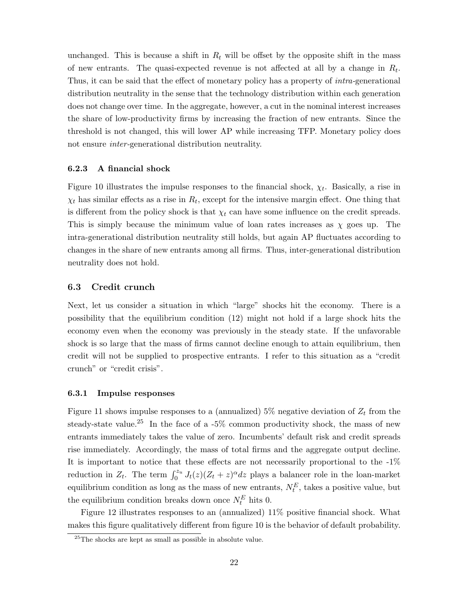unchanged. This is because a shift in  $R_t$  will be offset by the opposite shift in the mass of new entrants. The quasi-expected revenue is not affected at all by a change in  $R_t$ . Thus, it can be said that the effect of monetary policy has a property of intra-generational distribution neutrality in the sense that the technology distribution within each generation does not change over time. In the aggregate, however, a cut in the nominal interest increases the share of low-productivity firms by increasing the fraction of new entrants. Since the threshold is not changed, this will lower AP while increasing TFP. Monetary policy does not ensure inter-generational distribution neutrality.

#### 6.2.3 A financial shock

Figure 10 illustrates the impulse responses to the financial shock,  $\chi_t$ . Basically, a rise in  $\chi_t$  has similar effects as a rise in  $R_t$ , except for the intensive margin effect. One thing that is different from the policy shock is that  $\chi_t$  can have some influence on the credit spreads. This is simply because the minimum value of loan rates increases as  $\chi$  goes up. The intra-generational distribution neutrality still holds, but again AP fluctuates according to changes in the share of new entrants among all firms. Thus, inter-generational distribution neutrality does not hold.

#### 6.3 Credit crunch

Next, let us consider a situation in which "large" shocks hit the economy. There is a possibility that the equilibrium condition (12) might not hold if a large shock hits the economy even when the economy was previously in the steady state. If the unfavorable shock is so large that the mass of firms cannot decline enough to attain equilibrium, then credit will not be supplied to prospective entrants. I refer to this situation as a "credit crunch" or "credit crisis".

#### 6.3.1 Impulse responses

Figure 11 shows impulse responses to a (annualized) 5% negative deviation of  $Z_t$  from the steady-state value.<sup>25</sup> In the face of a  $-5\%$  common productivity shock, the mass of new entrants immediately takes the value of zero. Incumbents' default risk and credit spreads rise immediately. Accordingly, the mass of total firms and the aggregate output decline. It is important to notice that these effects are not necessarily proportional to the -1% reduction in  $Z_t$ . The term  $\int_0^{z_u} J_t(z)(Z_t + z)^{\alpha} dz$  plays a balancer role in the loan-market equilibrium condition as long as the mass of new entrants,  $N_t^E$ , takes a positive value, but the equilibrium condition breaks down once  $N_t^E$  hits 0.

Figure 12 illustrates responses to an (annualized) 11% positive financial shock. What makes this figure qualitatively different from figure 10 is the behavior of default probability.

 $25$ The shocks are kept as small as possible in absolute value.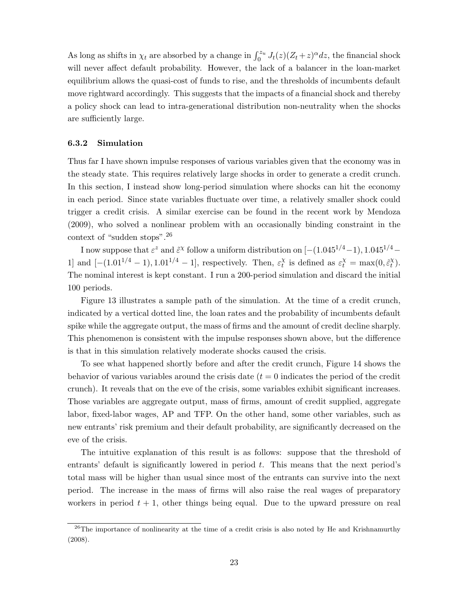As long as shifts in  $\chi_t$  are absorbed by a change in  $\int_0^{z_u} J_t(z)(Z_t+z)^\alpha dz$ , the financial shock will never affect default probability. However, the lack of a balancer in the loan-market equilibrium allows the quasi-cost of funds to rise, and the thresholds of incumbents default move rightward accordingly. This suggests that the impacts of a financial shock and thereby a policy shock can lead to intra-generational distribution non-neutrality when the shocks are sufficiently large.

#### 6.3.2 Simulation

Thus far I have shown impulse responses of various variables given that the economy was in the steady state. This requires relatively large shocks in order to generate a credit crunch. In this section, I instead show long-period simulation where shocks can hit the economy in each period. Since state variables fluctuate over time, a relatively smaller shock could trigger a credit crisis. A similar exercise can be found in the recent work by Mendoza (2009), who solved a nonlinear problem with an occasionally binding constraint in the context of "sudden stops".<sup>26</sup>

I now suppose that  $\varepsilon^z$  and  $\tilde{\varepsilon}^{\chi}$  follow a uniform distribution on  $[-(1.045^{1/4}-1), 1.045^{1/4}-1]$ 1] and  $[-(1.01^{1/4} - 1), 1.01^{1/4} - 1]$ , respectively. Then,  $\varepsilon_t^{\chi}$  $\chi_t^{\chi}$  is defined as  $\varepsilon_t^{\chi} = \max(0, \tilde{\varepsilon}_t^{\chi})$  $_{t}^{\chi}).$ The nominal interest is kept constant. I run a 200-period simulation and discard the initial 100 periods.

Figure 13 illustrates a sample path of the simulation. At the time of a credit crunch, indicated by a vertical dotted line, the loan rates and the probability of incumbents default spike while the aggregate output, the mass of firms and the amount of credit decline sharply. This phenomenon is consistent with the impulse responses shown above, but the difference is that in this simulation relatively moderate shocks caused the crisis.

To see what happened shortly before and after the credit crunch, Figure 14 shows the behavior of various variables around the crisis date  $(t = 0$  indicates the period of the credit crunch). It reveals that on the eve of the crisis, some variables exhibit significant increases. Those variables are aggregate output, mass of firms, amount of credit supplied, aggregate labor, fixed-labor wages, AP and TFP. On the other hand, some other variables, such as new entrants' risk premium and their default probability, are significantly decreased on the eve of the crisis.

The intuitive explanation of this result is as follows: suppose that the threshold of entrants' default is significantly lowered in period  $t$ . This means that the next period's total mass will be higher than usual since most of the entrants can survive into the next period. The increase in the mass of firms will also raise the real wages of preparatory workers in period  $t + 1$ , other things being equal. Due to the upward pressure on real

 $^{26}$ The importance of nonlinearity at the time of a credit crisis is also noted by He and Krishnamurthy (2008).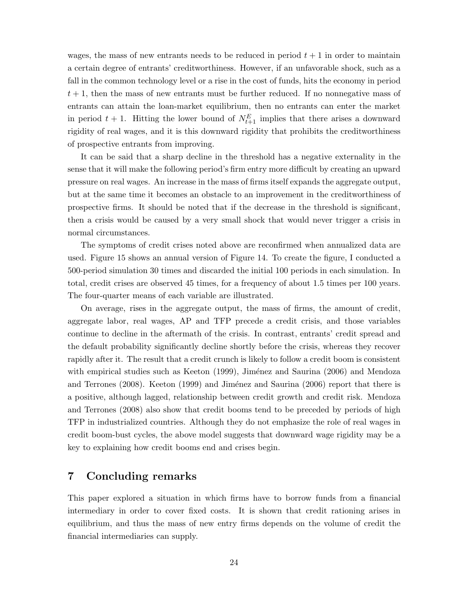wages, the mass of new entrants needs to be reduced in period  $t + 1$  in order to maintain a certain degree of entrants' creditworthiness. However, if an unfavorable shock, such as a fall in the common technology level or a rise in the cost of funds, hits the economy in period  $t + 1$ , then the mass of new entrants must be further reduced. If no nonnegative mass of entrants can attain the loan-market equilibrium, then no entrants can enter the market in period  $t + 1$ . Hitting the lower bound of  $N_{t+1}^E$  implies that there arises a downward rigidity of real wages, and it is this downward rigidity that prohibits the creditworthiness of prospective entrants from improving.

It can be said that a sharp decline in the threshold has a negative externality in the sense that it will make the following period's firm entry more difficult by creating an upward pressure on real wages. An increase in the mass of firms itself expands the aggregate output, but at the same time it becomes an obstacle to an improvement in the creditworthiness of prospective firms. It should be noted that if the decrease in the threshold is significant, then a crisis would be caused by a very small shock that would never trigger a crisis in normal circumstances.

The symptoms of credit crises noted above are reconfirmed when annualized data are used. Figure 15 shows an annual version of Figure 14. To create the figure, I conducted a 500-period simulation 30 times and discarded the initial 100 periods in each simulation. In total, credit crises are observed 45 times, for a frequency of about 1.5 times per 100 years. The four-quarter means of each variable are illustrated.

On average, rises in the aggregate output, the mass of firms, the amount of credit, aggregate labor, real wages, AP and TFP precede a credit crisis, and those variables continue to decline in the aftermath of the crisis. In contrast, entrants' credit spread and the default probability significantly decline shortly before the crisis, whereas they recover rapidly after it. The result that a credit crunch is likely to follow a credit boom is consistent with empirical studies such as Keeton  $(1999)$ , Jiménez and Saurina  $(2006)$  and Mendoza and Terrones (2008). Keeton (1999) and Jiménez and Saurina (2006) report that there is a positive, although lagged, relationship between credit growth and credit risk. Mendoza and Terrones (2008) also show that credit booms tend to be preceded by periods of high TFP in industrialized countries. Although they do not emphasize the role of real wages in credit boom-bust cycles, the above model suggests that downward wage rigidity may be a key to explaining how credit booms end and crises begin.

# 7 Concluding remarks

This paper explored a situation in which firms have to borrow funds from a financial intermediary in order to cover fixed costs. It is shown that credit rationing arises in equilibrium, and thus the mass of new entry firms depends on the volume of credit the financial intermediaries can supply.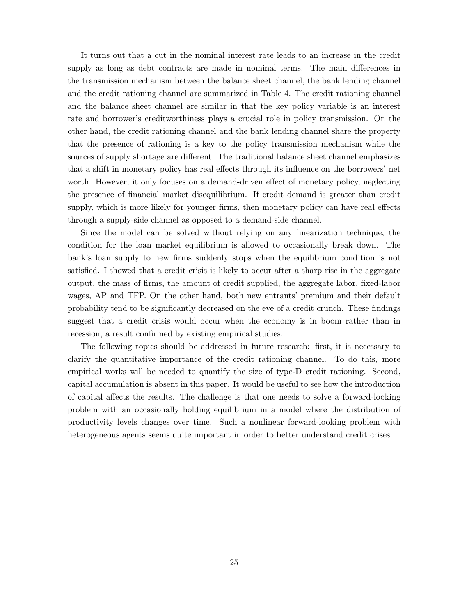It turns out that a cut in the nominal interest rate leads to an increase in the credit supply as long as debt contracts are made in nominal terms. The main differences in the transmission mechanism between the balance sheet channel, the bank lending channel and the credit rationing channel are summarized in Table 4. The credit rationing channel and the balance sheet channel are similar in that the key policy variable is an interest rate and borrower's creditworthiness plays a crucial role in policy transmission. On the other hand, the credit rationing channel and the bank lending channel share the property that the presence of rationing is a key to the policy transmission mechanism while the sources of supply shortage are different. The traditional balance sheet channel emphasizes that a shift in monetary policy has real effects through its influence on the borrowers' net worth. However, it only focuses on a demand-driven effect of monetary policy, neglecting the presence of financial market disequilibrium. If credit demand is greater than credit supply, which is more likely for younger firms, then monetary policy can have real effects through a supply-side channel as opposed to a demand-side channel.

Since the model can be solved without relying on any linearization technique, the condition for the loan market equilibrium is allowed to occasionally break down. The bank's loan supply to new firms suddenly stops when the equilibrium condition is not satisfied. I showed that a credit crisis is likely to occur after a sharp rise in the aggregate output, the mass of firms, the amount of credit supplied, the aggregate labor, fixed-labor wages, AP and TFP. On the other hand, both new entrants' premium and their default probability tend to be significantly decreased on the eve of a credit crunch. These findings suggest that a credit crisis would occur when the economy is in boom rather than in recession, a result confirmed by existing empirical studies.

The following topics should be addressed in future research: first, it is necessary to clarify the quantitative importance of the credit rationing channel. To do this, more empirical works will be needed to quantify the size of type-D credit rationing. Second, capital accumulation is absent in this paper. It would be useful to see how the introduction of capital affects the results. The challenge is that one needs to solve a forward-looking problem with an occasionally holding equilibrium in a model where the distribution of productivity levels changes over time. Such a nonlinear forward-looking problem with heterogeneous agents seems quite important in order to better understand credit crises.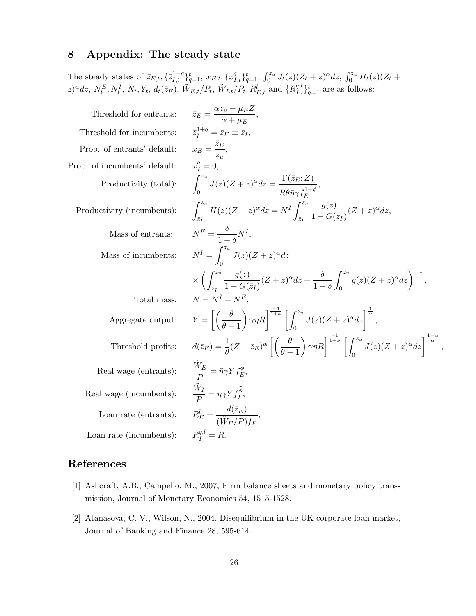# 8 Appendix: The steady state

The steady states of  $\bar{z}_{E,t}$ ,  $\{\bar{z}_{I,t}^{1+q}\}_{q=1}^t$ ,  $x_{E,t}$ ,  $\{x_{I,t}^q\}_{q=1}^t$ ,  $\int_0^{z_u} J_t(z)(Z_t + z)^{\alpha} dz$ ,  $\int_0^{z_u} H_t(z)(Z_t + z)^{\alpha} dz$  $(z)^{\alpha}dz, N_t^E, N_t^I, N_t, Y_t, d_t(\bar{z}_E), \tilde{W}_{E,t}/P_t, \tilde{W}_{I,t}/P_t, R_{E,t}^l$  and  $\{R_{I,t}^{q,l}\}_{q=1}^t$  are as follows:

Threshold for entrants:

\n
$$
\overline{z}_{E} = \frac{\alpha z_{u} - \mu_{E} Z}{\alpha + \mu_{E}},
$$
\nThreshold for incumbents:

\n
$$
\overline{z}_{I}^{1+q} = \overline{z}_{E} \equiv \overline{z}_{I},
$$
\nProb. of entrants' default:

\n
$$
x_{E} = \frac{\overline{z}_{E}}{z_{u}},
$$
\nProb. of incumbents' default:

\n
$$
x_{I}^{q} = 0,
$$
\nProductivity (total):

\n
$$
\int_{0}^{z_{u}} J(z)(Z + z)^{\alpha} dz = \frac{\Gamma(\overline{z}_{E}; Z)}{R\theta \tilde{\eta} \gamma / \frac{1}{E}}.
$$
\nProductivity (incumbents):

\n
$$
\int_{\overline{z}_{I}}^{z_{u}} H(z)(Z + z)^{\alpha} dz = N^{I} \int_{\overline{z}_{I}}^{z_{u}} \frac{g(z)}{1 - G(\overline{z}_{I})} (Z + z)^{\alpha} dz,
$$
\nMass of entrants:

\n
$$
N^{I} = \int_{0}^{z_{u}} J(z)(Z + z)^{\alpha} dz
$$
\n
$$
\times \left( \int_{\overline{z}_{I}}^{z_{u}} \frac{g(z)}{1 - G(\overline{z}_{I})} (Z + z)^{\alpha} dz + \frac{\delta}{1 - \delta} \int_{0}^{z_{u}} g(z)(Z + z)^{\alpha} dz \right)^{-1},
$$
\nTotal mass:

\n
$$
N = N^{I} + N^{E},
$$
\nAggregate output:

\n
$$
Y = \left[ \left( \frac{\theta}{\theta - 1} \right) \gamma \eta R \right]^{\frac{-1}{1 + \delta}} \left[ \int_{0}^{z_{u}} J(z)(Z + z)^{\alpha} dz \right]^{\frac{1}{\alpha}},
$$
\nThreshold profits:

\n
$$
d(\overline{z}_{E}) = \frac{1}{\theta} (Z + \overline{z}_{E})^{\alpha} \left[ \left( \frac{\theta}{\theta - 1} \right) \gamma \eta R \right]^{\frac{-1}{1 + \delta}} \left[ \int_{0}^{z_{u}} J(z)(Z + z)^{\alpha} dz \right]^{\frac{1 - \alpha}{\alpha}}
$$
\nReal wage (incumbents):

\n

,

# References

- [1] Ashcraft, A.B., Campello, M., 2007, Firm balance sheets and monetary policy transmission, Journal of Monetary Economics 54, 1515-1528.
- [2] Atanasova, C. V., Wilson, N., 2004, Disequilibrium in the UK corporate loan market, Journal of Banking and Finance 28, 595-614.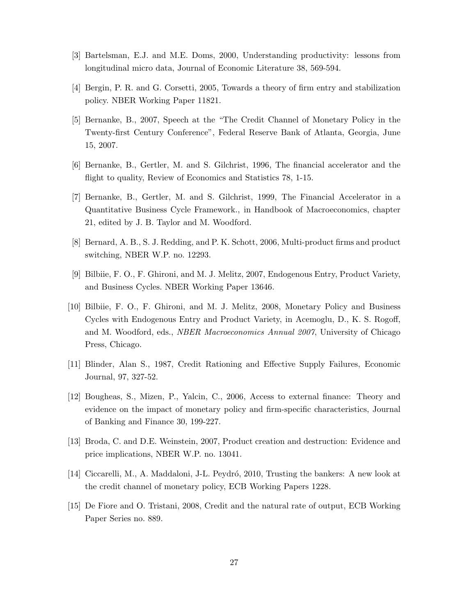- [3] Bartelsman, E.J. and M.E. Doms, 2000, Understanding productivity: lessons from longitudinal micro data, Journal of Economic Literature 38, 569-594.
- [4] Bergin, P. R. and G. Corsetti, 2005, Towards a theory of firm entry and stabilization policy. NBER Working Paper 11821.
- [5] Bernanke, B., 2007, Speech at the "The Credit Channel of Monetary Policy in the Twenty-first Century Conference", Federal Reserve Bank of Atlanta, Georgia, June 15, 2007.
- [6] Bernanke, B., Gertler, M. and S. Gilchrist, 1996, The financial accelerator and the flight to quality, Review of Economics and Statistics 78, 1-15.
- [7] Bernanke, B., Gertler, M. and S. Gilchrist, 1999, The Financial Accelerator in a Quantitative Business Cycle Framework., in Handbook of Macroeconomics, chapter 21, edited by J. B. Taylor and M. Woodford.
- [8] Bernard, A. B., S. J. Redding, and P. K. Schott, 2006, Multi-product firms and product switching, NBER W.P. no. 12293.
- [9] Bilbiie, F. O., F. Ghironi, and M. J. Melitz, 2007, Endogenous Entry, Product Variety, and Business Cycles. NBER Working Paper 13646.
- [10] Bilbiie, F. O., F. Ghironi, and M. J. Melitz, 2008, Monetary Policy and Business Cycles with Endogenous Entry and Product Variety, in Acemoglu, D., K. S. Rogoff, and M. Woodford, eds., NBER Macroeconomics Annual 2007, University of Chicago Press, Chicago.
- [11] Blinder, Alan S., 1987, Credit Rationing and Effective Supply Failures, Economic Journal, 97, 327-52.
- [12] Bougheas, S., Mizen, P., Yalcin, C., 2006, Access to external finance: Theory and evidence on the impact of monetary policy and firm-specific characteristics, Journal of Banking and Finance 30, 199-227.
- [13] Broda, C. and D.E. Weinstein, 2007, Product creation and destruction: Evidence and price implications, NBER W.P. no. 13041.
- [14] Ciccarelli, M., A. Maddaloni, J-L. Peydr´o, 2010, Trusting the bankers: A new look at the credit channel of monetary policy, ECB Working Papers 1228.
- [15] De Fiore and O. Tristani, 2008, Credit and the natural rate of output, ECB Working Paper Series no. 889.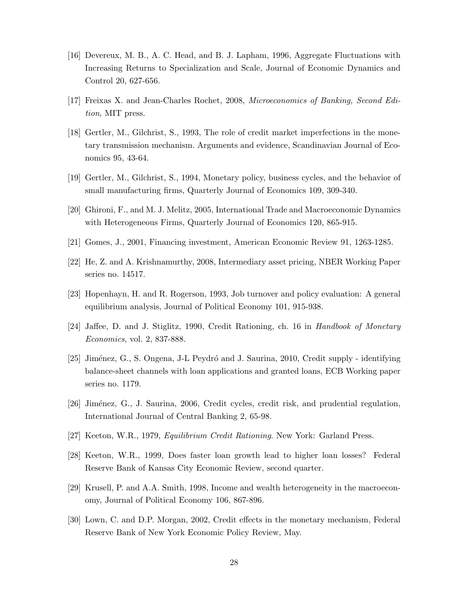- [16] Devereux, M. B., A. C. Head, and B. J. Lapham, 1996, Aggregate Fluctuations with Increasing Returns to Specialization and Scale, Journal of Economic Dynamics and Control 20, 627-656.
- [17] Freixas X. and Jean-Charles Rochet, 2008, Microeconomics of Banking, Second Edition, MIT press.
- [18] Gertler, M., Gilchrist, S., 1993, The role of credit market imperfections in the monetary transmission mechanism. Arguments and evidence, Scandinavian Journal of Economics 95, 43-64.
- [19] Gertler, M., Gilchrist, S., 1994, Monetary policy, business cycles, and the behavior of small manufacturing firms, Quarterly Journal of Economics 109, 309-340.
- [20] Ghironi, F., and M. J. Melitz, 2005, International Trade and Macroeconomic Dynamics with Heterogeneous Firms, Quarterly Journal of Economics 120, 865-915.
- [21] Gomes, J., 2001, Financing investment, American Economic Review 91, 1263-1285.
- [22] He, Z. and A. Krishnamurthy, 2008, Intermediary asset pricing, NBER Working Paper series no. 14517.
- [23] Hopenhayn, H. and R. Rogerson, 1993, Job turnover and policy evaluation: A general equilibrium analysis, Journal of Political Economy 101, 915-938.
- [24] Jaffee, D. and J. Stiglitz, 1990, Credit Rationing, ch. 16 in Handbook of Monetary Economics, vol. 2, 837-888.
- [25] Jiménez, G., S. Ongena, J-L Peydró and J. Saurina, 2010, Credit supply identifying balance-sheet channels with loan applications and granted loans, ECB Working paper series no. 1179.
- [26] Jim´enez, G., J. Saurina, 2006, Credit cycles, credit risk, and prudential regulation, International Journal of Central Banking 2, 65-98.
- [27] Keeton, W.R., 1979, Equilibrium Credit Rationing. New York: Garland Press.
- [28] Keeton, W.R., 1999, Does faster loan growth lead to higher loan losses? Federal Reserve Bank of Kansas City Economic Review, second quarter.
- [29] Krusell, P. and A.A. Smith, 1998, Income and wealth heterogeneity in the macroeconomy, Journal of Political Economy 106, 867-896.
- [30] Lown, C. and D.P. Morgan, 2002, Credit effects in the monetary mechanism, Federal Reserve Bank of New York Economic Policy Review, May.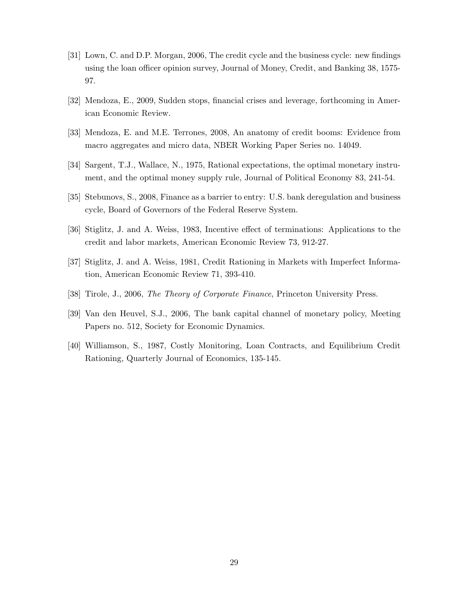- [31] Lown, C. and D.P. Morgan, 2006, The credit cycle and the business cycle: new findings using the loan officer opinion survey, Journal of Money, Credit, and Banking 38, 1575- 97.
- [32] Mendoza, E., 2009, Sudden stops, financial crises and leverage, forthcoming in American Economic Review.
- [33] Mendoza, E. and M.E. Terrones, 2008, An anatomy of credit booms: Evidence from macro aggregates and micro data, NBER Working Paper Series no. 14049.
- [34] Sargent, T.J., Wallace, N., 1975, Rational expectations, the optimal monetary instrument, and the optimal money supply rule, Journal of Political Economy 83, 241-54.
- [35] Stebunovs, S., 2008, Finance as a barrier to entry: U.S. bank deregulation and business cycle, Board of Governors of the Federal Reserve System.
- [36] Stiglitz, J. and A. Weiss, 1983, Incentive effect of terminations: Applications to the credit and labor markets, American Economic Review 73, 912-27.
- [37] Stiglitz, J. and A. Weiss, 1981, Credit Rationing in Markets with Imperfect Information, American Economic Review 71, 393-410.
- [38] Tirole, J., 2006, The Theory of Corporate Finance, Princeton University Press.
- [39] Van den Heuvel, S.J., 2006, The bank capital channel of monetary policy, Meeting Papers no. 512, Society for Economic Dynamics.
- [40] Williamson, S., 1987, Costly Monitoring, Loan Contracts, and Equilibrium Credit Rationing, Quarterly Journal of Economics, 135-145.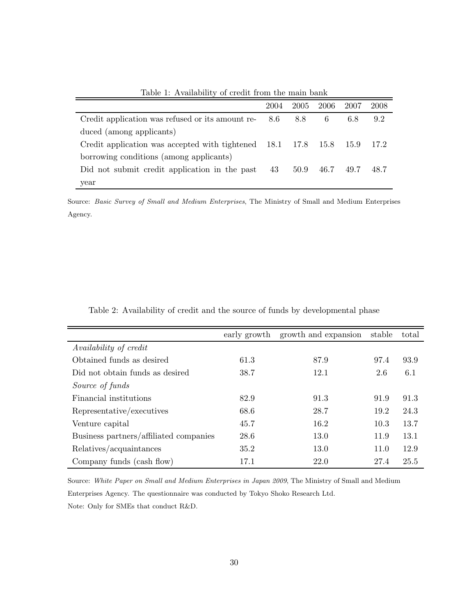|                                                                                   | 2004 | 2005 2006 |      | 2007 | 2008 |
|-----------------------------------------------------------------------------------|------|-----------|------|------|------|
| Credit application was refused or its amount re- $8.6$                            |      | 8.8       | 6    | 6.8  | 9.2  |
| duced (among applicants)                                                          |      |           |      |      |      |
| Credit application was accepted with tightened $18.1$ $17.8$ $15.8$ $15.9$ $17.2$ |      |           |      |      |      |
| borrowing conditions (among applicants)                                           |      |           |      |      |      |
| Did not submit credit application in the past                                     | 43   | 50.9      | 46.7 | 49.7 | 48.7 |
| year                                                                              |      |           |      |      |      |

Table 1: Availability of credit from the main bank

Source: Basic Survey of Small and Medium Enterprises, The Ministry of Small and Medium Enterprises Agency.

Table 2: Availability of credit and the source of funds by developmental phase

|                                        | early growth | growth and expansion | stable | total |
|----------------------------------------|--------------|----------------------|--------|-------|
| Availability of credit                 |              |                      |        |       |
| Obtained funds as desired              | 61.3         | 87.9                 | 97.4   | 93.9  |
| Did not obtain funds as desired        | 38.7         | 12.1                 | 2.6    | 6.1   |
| Source of funds                        |              |                      |        |       |
| Financial institutions                 | 82.9         | 91.3                 | 91.9   | 91.3  |
| Representative/executives              | 68.6         | 28.7                 | 19.2   | 24.3  |
| Venture capital                        | 45.7         | 16.2                 | 10.3   | 13.7  |
| Business partners/affiliated companies | 28.6         | 13.0                 | 11.9   | 13.1  |
| Relatives/acquaintances                | 35.2         | 13.0                 | 11.0   | 12.9  |
| Company funds (cash flow)              | 17.1         | 22.0                 | 27.4   | 25.5  |

Source: White Paper on Small and Medium Enterprises in Japan 2009, The Ministry of Small and Medium

Enterprises Agency. The questionnaire was conducted by Tokyo Shoko Research Ltd.

Note: Only for SMEs that conduct R&D.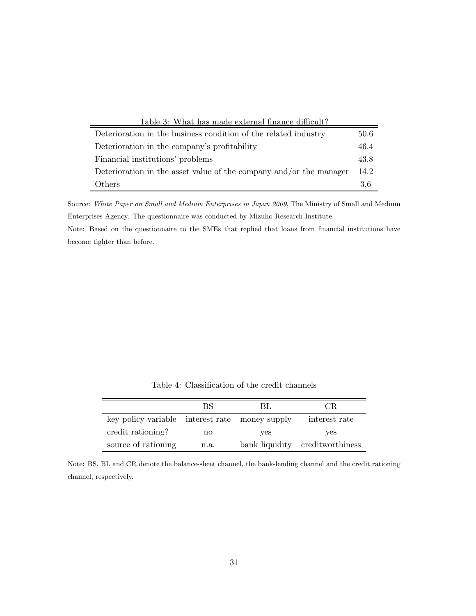| Table 3: What has made external finance difficult?                 |      |  |  |  |
|--------------------------------------------------------------------|------|--|--|--|
| Deterioration in the business condition of the related industry    | 50.6 |  |  |  |
| Deterioration in the company's profitability                       | 46.4 |  |  |  |
| Financial institutions' problems                                   | 43.8 |  |  |  |
| Deterioration in the asset value of the company and/or the manager | 14.2 |  |  |  |
| Others                                                             | -3.6 |  |  |  |

Source: White Paper on Small and Medium Enterprises in Japan 2009, The Ministry of Small and Medium Enterprises Agency. The questionnaire was conducted by Mizuho Research Institute.

Note: Based on the questionnaire to the SMEs that replied that loans from financial institutions have become tighter than before.

Table 4: Classification of the credit channels

|                                                | BS   | RL. | CR.                             |
|------------------------------------------------|------|-----|---------------------------------|
| key policy variable interest rate money supply |      |     | interest rate                   |
| credit rationing?                              | no   | yes | ves                             |
| source of rationing                            | n.a. |     | bank liquidity creditworthiness |

Note: BS, BL and CR denote the balance-sheet channel, the bank-lending channel and the credit rationing channel, respectively.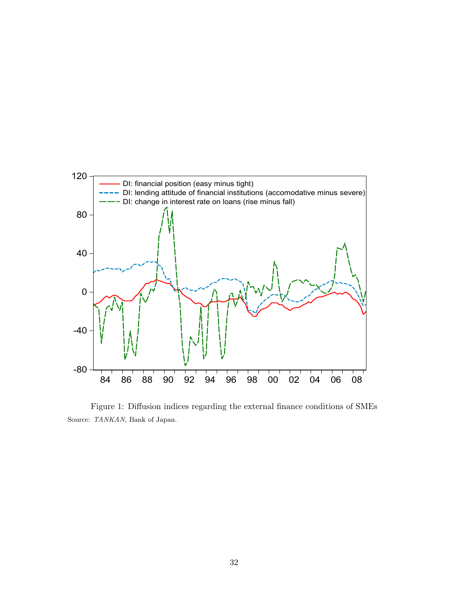

Figure 1: Diffusion indices regarding the external finance conditions of SMEs Source: TANKAN, Bank of Japan.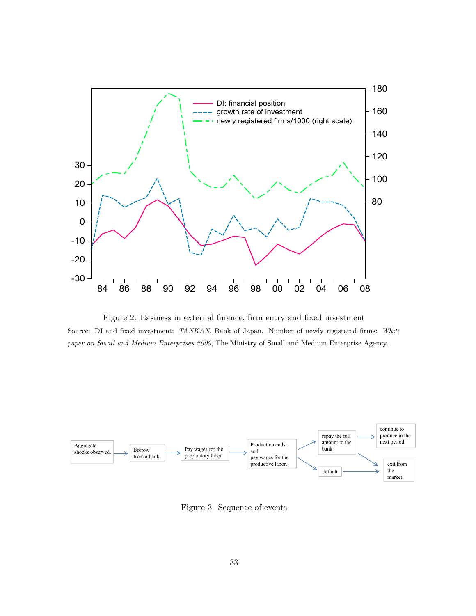

Figure 2: Easiness in external finance, firm entry and fixed investment Source: DI and fixed investment: TANKAN, Bank of Japan. Number of newly registered firms: White paper on Small and Medium Enterprises 2009, The Ministry of Small and Medium Enterprise Agency.



Figure 3: Sequence of events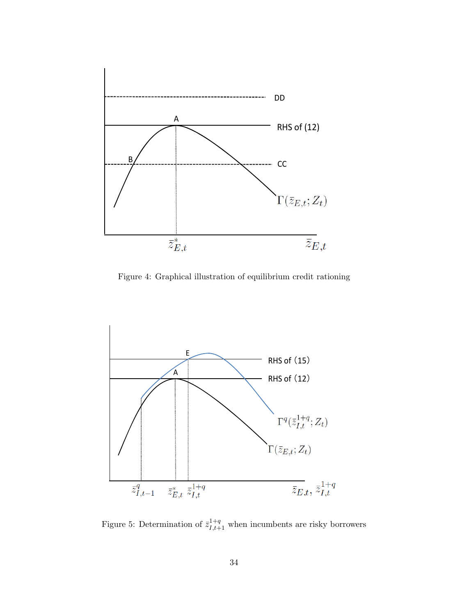

Figure 4: Graphical illustration of equilibrium credit rationing



Figure 5: Determination of  $\bar{z}_{I,t+1}^{1+q}$  when incumbents are risky borrowers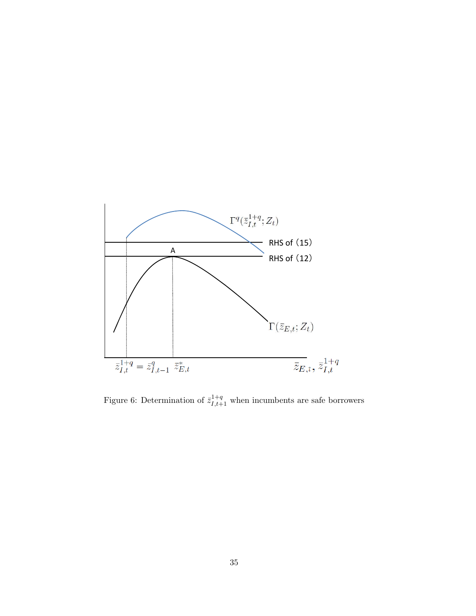

Figure 6: Determination of  $\bar{z}_{I,t+1}^{1+q}$  when incumbents are safe borrowers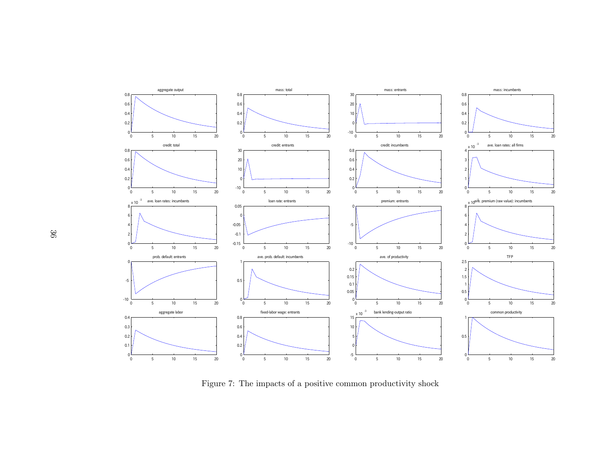

Figure 7: The impacts of <sup>a</sup> positive common productivity shock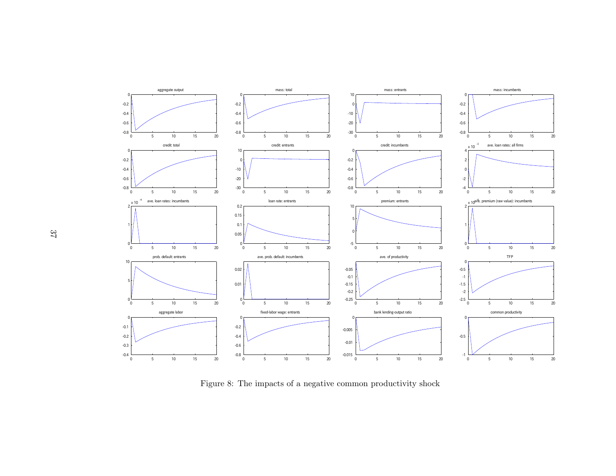

Figure 8: The impacts of <sup>a</sup> negative common productivity shock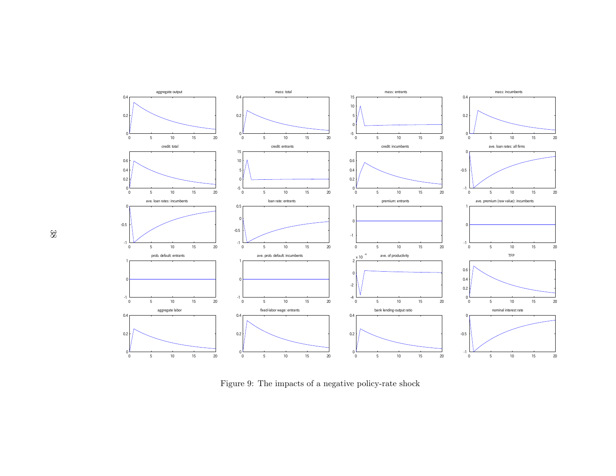

Figure 9: The impacts of <sup>a</sup> negative policy-rate shock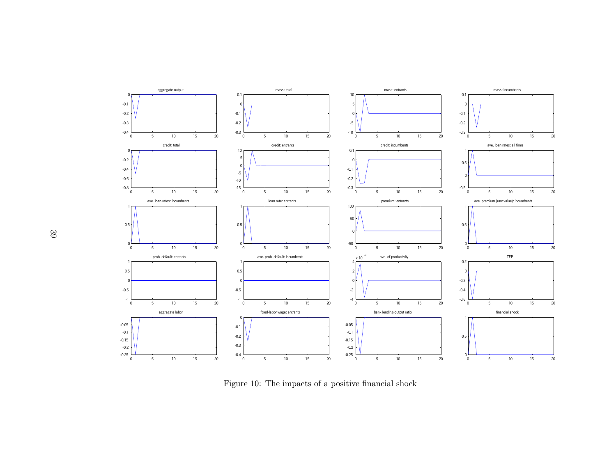

Figure 10: The impacts of <sup>a</sup> positive financial shock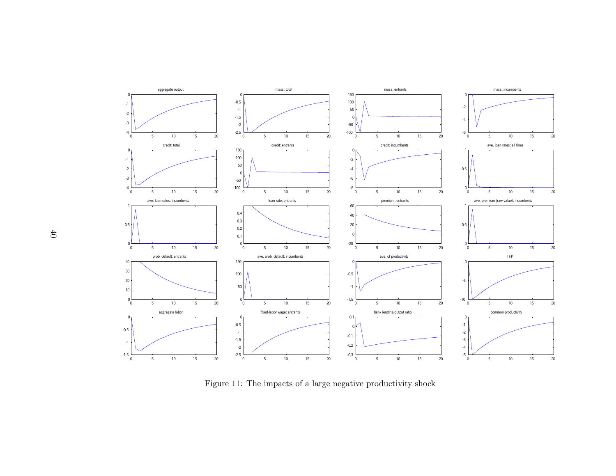

Figure 11: The impacts of <sup>a</sup> large negative productivity shock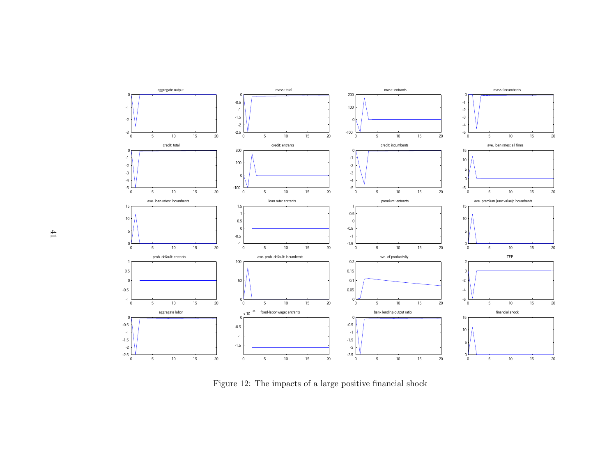

Figure 12: The impacts of <sup>a</sup> large positive financial shock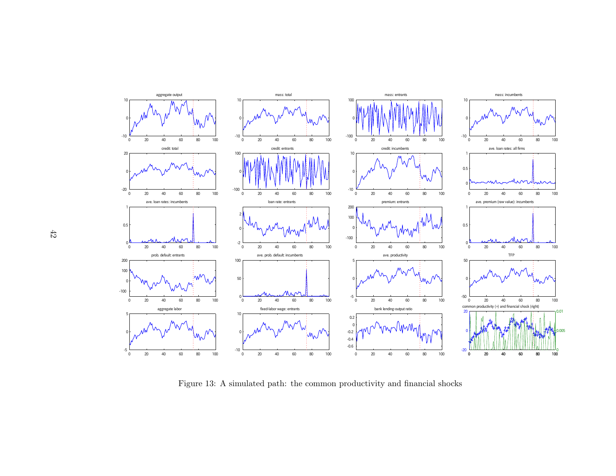

Figure 13: <sup>A</sup> simulated path: the common productivity and financial shocks

 $42\,$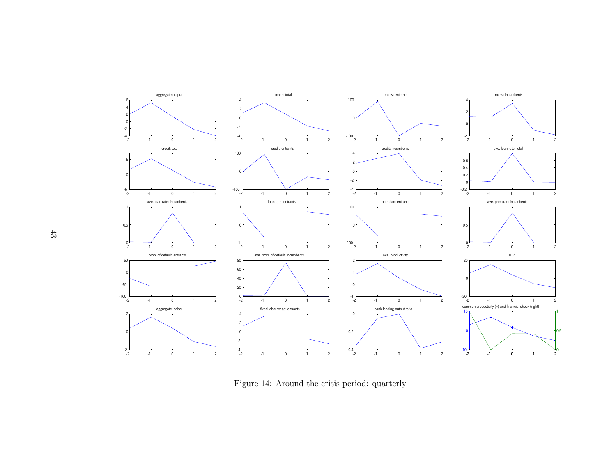

Figure 14: Around the crisis period: quarterly